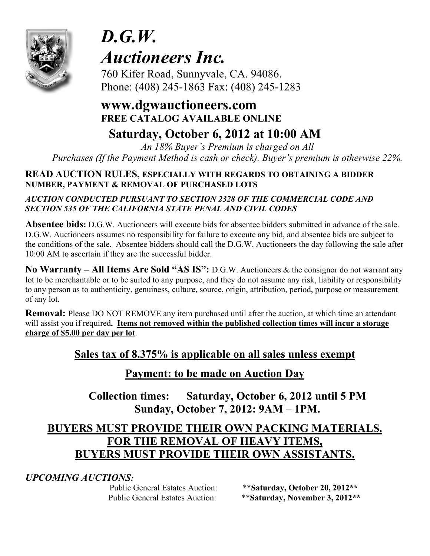

# *D.G.W. Auctioneers Inc.*

 760 Kifer Road, Sunnyvale, CA. 94086. Phone: (408) 245-1863 Fax: (408) 245-1283

# **www.dgwauctioneers.com FREE CATALOG AVAILABLE ONLINE**

# **Saturday, October 6, 2012 at 10:00 AM**

*An 18% Buyer's Premium is charged on All Purchases (If the Payment Method is cash or check). Buyer's premium is otherwise 22%.*

# **READ AUCTION RULES, ESPECIALLY WITH REGARDS TO OBTAINING A BIDDER NUMBER, PAYMENT & REMOVAL OF PURCHASED LOTS**

# *AUCTION CONDUCTED PURSUANT TO SECTION 2328 OF THE COMMERCIAL CODE AND SECTION 535 OF THE CALIFORNIA STATE PENAL AND CIVIL CODES*

**Absentee bids:** D.G.W. Auctioneers will execute bids for absentee bidders submitted in advance of the sale. D.G.W. Auctioneers assumes no responsibility for failure to execute any bid, and absentee bids are subject to the conditions of the sale. Absentee bidders should call the D.G.W. Auctioneers the day following the sale after 10:00 AM to ascertain if they are the successful bidder.

**No Warranty – All Items Are Sold "AS IS":** D.G.W. Auctioneers & the consignor do not warrant any lot to be merchantable or to be suited to any purpose, and they do not assume any risk, liability or responsibility to any person as to authenticity, genuiness, culture, source, origin, attribution, period, purpose or measurement of any lot.

**Removal:** Please DO NOT REMOVE any item purchased until after the auction, at which time an attendant will assist you if required**. Items not removed within the published collection times will incur a storage charge of \$5.00 per day per lot**.

# **Sales tax of 8.375% is applicable on all sales unless exempt**

# **Payment: to be made on Auction Day**

**Collection times: Saturday, October 6, 2012 until 5 PM Sunday, October 7, 2012: 9AM – 1PM.** 

# **BUYERS MUST PROVIDE THEIR OWN PACKING MATERIALS. FOR THE REMOVAL OF HEAVY ITEMS, BUYERS MUST PROVIDE THEIR OWN ASSISTANTS.**

*UPCOMING AUCTIONS:* 

 Public General Estates Auction: \*\***Saturday, October 20, 2012\*\***  Public General Estates Auction: \*\***Saturday, November 3, 2012\*\***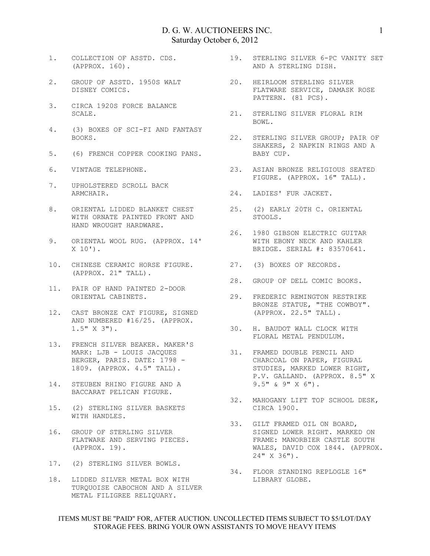- (APPROX. 160).
- 2. GROUP OF ASSTD. 1950S WALT DISNEY COMICS.
- 3. CIRCA 1920S FORCE BALANCE SCALE.
- 4. (3) BOXES OF SCI-FI AND FANTASY BOOKS.
- 5. (6) FRENCH COPPER COOKING PANS.
- 6. VINTAGE TELEPHONE.
- 7. UPHOLSTERED SCROLL BACK ARMCHAIR.
- 8. ORIENTAL LIDDED BLANKET CHEST WITH ORNATE PAINTED FRONT AND HAND WROUGHT HARDWARE.
- 9. ORIENTAL WOOL RUG. (APPROX. 14' X 10').
- 10. CHINESE CERAMIC HORSE FIGURE. 27. (3) BOXES OF RECORDS. (APPROX. 21" TALL).
- 11. PAIR OF HAND PAINTED 2-DOOR ORIENTAL CABINETS.
- 12. CAST BRONZE CAT FIGURE, SIGNED AND NUMBERED #16/25. (APPROX. 1.5" X 3").
- 13. FRENCH SILVER BEAKER. MAKER'S MARK: LJB - LOUIS JACQUES BERGER, PARIS. DATE: 1798 - 1809. (APPROX. 4.5" TALL).
- 14. STEUBEN RHINO FIGURE AND A BACCARAT PELICAN FIGURE.
- 15. (2) STERLING SILVER BASKETS<br>WITH HANDLES. WITH HANDLES.
- 16. GROUP OF STERLING SILVER FLATWARE AND SERVING PIECES. (APPROX. 19).
- 17. (2) STERLING SILVER BOWLS.
- 18. LIDDED SILVER METAL BOX WITH TURQUOISE CABOCHON AND A SILVER METAL FILIGREE RELIQUARY.
- 1. COLLECTION OF ASSTD. CDS. 19. STERLING SILVER 6-PC VANITY SET AND A STERLING DISH.
	- 20. HEIRLOOM STERLING SILVER FLATWARE SERVICE, DAMASK ROSE PATTERN. (81 PCS).
	- 21. STERLING SILVER FLORAL RIM BOWL.
	- 22. STERLING SILVER GROUP; PAIR OF SHAKERS, 2 NAPKIN RINGS AND A BABY CUP.
		- 23. ASIAN BRONZE RELIGIOUS SEATED FIGURE. (APPROX. 16" TALL).
			- 24. LADIES' FUR JACKET.
			- 25. (2) EARLY 20TH C. ORIENTAL STOOLS.
			- 26. 1980 GIBSON ELECTRIC GUITAR WITH EBONY NECK AND KAHLER BRIDGE. SERIAL #: 83570641.
			-
		- 28. GROUP OF DELL COMIC BOOKS.
		- 29. FREDERIC REMINGTON RESTRIKE BRONZE STATUE, "THE COWBOY". (APPROX. 22.5" TALL).
		- 30. H. BAUDOT WALL CLOCK WITH FLORAL METAL PENDULUM.
			- 31. FRAMED DOUBLE PENCIL AND CHARCOAL ON PAPER, FIGURAL STUDIES, MARKED LOWER RIGHT, P.V. GALLAND. (APPROX. 8.5" X 9.5" & 9" X 6").
		- 32. MAHOGANY LIFT TOP SCHOOL DESK, CIRCA 1900.
			- 33. GILT FRAMED OIL ON BOARD, SIGNED LOWER RIGHT. MARKED ON FRAME: MANORBIER CASTLE SOUTH WALES, DAVID COX 1844. (APPROX. 24" X 36").
			- 34. FLOOR STANDING REPLOGLE 16" LIBRARY GLOBE.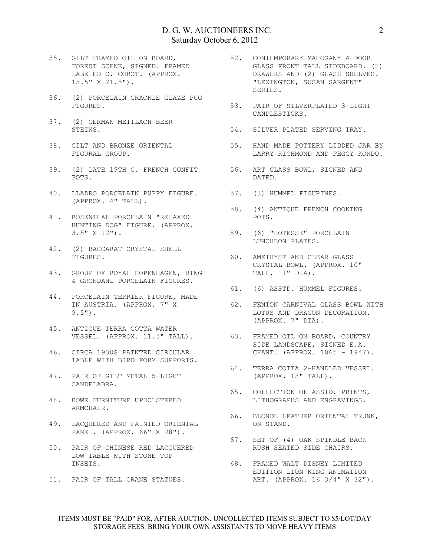- 35. GILT FRAMED OIL ON BOARD, FOREST SCENE, SIGNED. FRAMED LABELED C. COROT. (APPROX. 15.5" X 21.5").
- 36. (2) PORCELAIN CRACKLE GLAZE PUG FIGURES.
- 37. (2) GERMAN METTLACH BEER STEINS.
- 38. GILT AND BRONZE ORIENTAL FIGURAL GROUP.
- 39. (2) LATE 19TH C. FRENCH CONFIT 56. ART GLASS BOWL, SIGNED AND POTS.
- 40. LLADRO PORCELAIN PUPPY FIGURE. 57. (3) HUMMEL FIGURINES. (APPROX. 4" TALL).
- 41. ROSENTHAL PORCELAIN "RELAXED HUNTING DOG" FIGURE. (APPROX. 3.5" X 12").
- 42. (2) BACCARAT CRYSTAL SHELL FIGURES.
- 43. GROUP OF ROYAL COPENHAGEN, BING & GRONDAHL PORCELAIN FIGURES.
- 44. PORCELAIN TERRIER FIGURE, MADE IN AUSTRIA. (APPROX. 7" X 9.5").
- 45. ANTIQUE TERRA COTTA WATER VESSEL. (APPROX. 11.5" TALL).
- 46. CIRCA 1930S PAINTED CIRCULAR TABLE WITH BIRD FORM SUPPORTS.
- 47. PAIR OF GILT METAL 5-LIGHT CANDELABRA.
- 48. ROWE FURNITURE UPHOLSTERED ARMCHAIR.
- 49. LACQUERED AND PAINTED ORIENTAL PANEL. (APPROX. 66" X 28").
- 50. PAIR OF CHINESE RED LACQUERED LOW TABLE WITH STONE TOP INSETS. 68. FRAMED WALT DISNEY LIMITED
- 51. PAIR OF TALL CRANE STATUES.
- 52. CONTEMPORARY MAHOGANY 4-DOOR GLASS FRONT TALL SIDEBOARD. (2) DRAWERS AND (2) GLASS SHELVES. "LEXINGTON, SUSAN SARGENT" SERIES.
- 53. PAIR OF SILVERPLATED 3-LIGHT CANDLESTICKS.
	- 54. SILVER PLATED SERVING TRAY.
- 55. HAND MADE POTTERY LIDDED JAR BY LARRY RICHMOND AND PEGGY KONDO.
	- DATED.
	-
	- 58. (4) ANTIQUE FRENCH COOKING POTS.
	- 59. (6) "HOTESSE" PORCELAIN LUNCHEON PLATES.
- 60. AMETHYST AND CLEAR GLASS CRYSTAL BOWL. (APPROX. 10" TALL, 11" DIA).
	- 61. (6) ASSTD. HUMMEL FIGURES.
- 62. FENTON CARNIVAL GLASS BOWL WITH LOTUS AND DRAGON DECORATION.<br>(APPROX. 7" DIA). (APPROX. 7" DIA).
	- 63. FRAMED OIL ON BOARD, COUNTRY SIDE LANDSCAPE, SIGNED E.A. CHANT. (APPROX. 1865 - 1947).
- 64. TERRA COTTA 2-HANDLED VESSEL. (APPROX. 13" TALL).
- 65. COLLECTION OF ASSTD. PRINTS, LITHOGRAPHS AND ENGRAVINGS.
- 66. BLONDE LEATHER ORIENTAL TRUNK, ON STAND.
- 67. SET OF (4) OAK SPINDLE BACK RUSH SEATED SIDE CHAIRS.
	- EDITION LION KING ANIMATION ART. (APPROX. 16 3/4" X 32").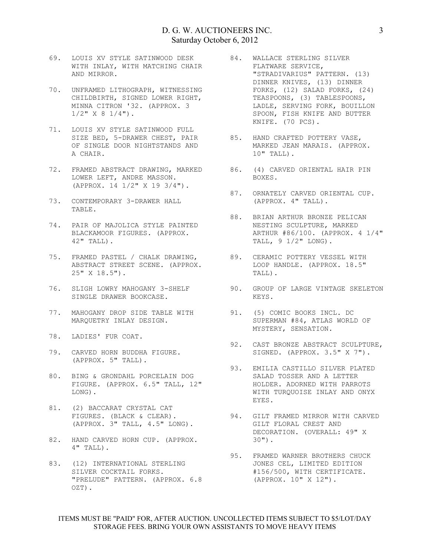- 69. LOUIS XV STYLE SATINWOOD DESK WITH INLAY, WITH MATCHING CHAIR AND MIRROR.
- 70. UNFRAMED LITHOGRAPH, WITNESSING CHILDBIRTH, SIGNED LOWER RIGHT, MINNA CITRON '32. (APPROX. 3  $1/2$ "  $\times$  8  $1/4$ ").
- 71. LOUIS XV STYLE SATINWOOD FULL SIZE BED, 5-DRAWER CHEST, PAIR OF SINGLE DOOR NIGHTSTANDS AND A CHAIR.
- 72. FRAMED ABSTRACT DRAWING, MARKED 86. (4) CARVED ORIENTAL HAIR PIN LOWER LEFT, ANDRE MASSON. (APPROX. 14 1/2" X 19 3/4").
- 73. CONTEMPORARY 3-DRAWER HALL TABLE.
- 74. PAIR OF MAJOLICA STYLE PAINTED BLACKAMOOR FIGURES. (APPROX. 42" TALL).
- 75. FRAMED PASTEL / CHALK DRAWING, ABSTRACT STREET SCENE. (APPROX. 25" X 18.5").
- SINGLE DRAWER BOOKCASE.
- 77. MAHOGANY DROP SIDE TABLE WITH MARQUETRY INLAY DESIGN.
- 78. LADIES' FUR COAT.
- 79. CARVED HORN BUDDHA FIGURE. (APPROX. 5" TALL).
- 80. BING & GRONDAHL PORCELAIN DOG FIGURE. (APPROX. 6.5" TALL, 12" LONG).
- 81. (2) BACCARAT CRYSTAL CAT FIGURES. (BLACK & CLEAR). (APPROX. 3" TALL, 4.5" LONG).
- 82. HAND CARVED HORN CUP. (APPROX. 4" TALL).
- 83. (12) INTERNATIONAL STERLING SILVER COCKTAIL FORKS. "PRELUDE" PATTERN. (APPROX. 6.8 OZT).
- 84. WALLACE STERLING SILVER FLATWARE SERVICE, "STRADIVARIUS" PATTERN. (13) DINNER KNIVES, (13) DINNER FORKS, (12) SALAD FORKS, (24) TEASPOONS, (3) TABLESPOONS, LADLE, SERVING FORK, BOUILLON SPOON, FISH KNIFE AND BUTTER KNIFE. (70 PCS).
- 85. HAND CRAFTED POTTERY VASE, MARKED JEAN MARAIS. (APPROX. 10" TALL).
- BOXES.
- 87. ORNATELY CARVED ORIENTAL CUP. (APPROX. 4" TALL).
	- 88. BRIAN ARTHUR BRONZE PELICAN NESTING SCULPTURE, MARKED ARTHUR #86/100. (APPROX. 4 1/4" TALL, 9 1/2" LONG).
	- 89. CERAMIC POTTERY VESSEL WITH LOOP HANDLE. (APPROX. 18.5" TALL).
- 76. SLIGH LOWRY MAHOGANY 3-SHELF 90. GROUP OF LARGE VINTAGE SKELETON KEYS.
	- 91. (5) COMIC BOOKS INCL. DC SUPERMAN #84, ATLAS WORLD OF MYSTERY, SENSATION.
	- 92. CAST BRONZE ABSTRACT SCULPTURE, SIGNED. (APPROX. 3.5" X 7").
	- 93. EMILIA CASTILLO SILVER PLATED SALAD TOSSER AND A LETTER HOLDER. ADORNED WITH PARROTS WITH TURQUOISE INLAY AND ONYX EYES.
	- 94. GILT FRAMED MIRROR WITH CARVED GILT FLORAL CREST AND DECORATION. (OVERALL: 49" X 30").
	- 95. FRAMED WARNER BROTHERS CHUCK JONES CEL, LIMITED EDITION #156/500, WITH CERTIFICATE. (APPROX. 10" X 12").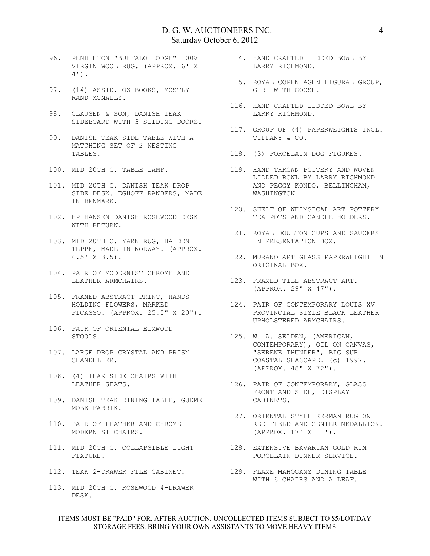- 96. PENDLETON "BUFFALO LODGE" 100% VIRGIN WOOL RUG. (APPROX. 6' X 4').
- 97. (14) ASSTD. OZ BOOKS, MOSTLY RAND MCNALLY.
- 98. CLAUSEN & SON, DANISH TEAK SIDEBOARD WITH 3 SLIDING DOORS.
- 99. DANISH TEAK SIDE TABLE WITH A MATCHING SET OF 2 NESTING DANISH IBAR VIDE I.<br>MATCHING SET OF 2 NESTING<br>TABLES.
- 100. MID 20TH C. TABLE LAMP.
- 101. MID 20TH C. DANISH TEAK DROP SIDE DESK. EGHOFF RANDERS, MADE IN DENMARK.
- 102. HP HANSEN DANISH ROSEWOOD DESK WITH RETURN.
- 103. MID 20TH C. YARN RUG, HALDEN TEPPE, MADE IN NORWAY. (APPROX. 6.5' X 3.5).
- 104. PAIR OF MODERNIST CHROME AND LEATHER ARMCHAIRS.
- 105. FRAMED ABSTRACT PRINT, HANDS HOLDING FLOWERS, MARKED PICASSO. (APPROX. 25.5" X 20").
- 106. PAIR OF ORIENTAL ELMWOOD STOOLS.
- 107. LARGE DROP CRYSTAL AND PRISM CHANDELIER.
- 108. (4) TEAK SIDE CHAIRS WITH LEATHER SEATS.
- 109. DANISH TEAK DINING TABLE, GUDME MOBELFABRIK.
- 110. PAIR OF LEATHER AND CHROME MODERNIST CHAIRS.
- 111. MID 20TH C. COLLAPSIBLE LIGHT 128. EXTENSIVE BAVARIAN GOLD RIM FIXTURE.
- 
- 113. MID 20TH C. ROSEWOOD 4-DRAWER DESK.
- 114. HAND CRAFTED LIDDED BOWL BY LARRY RICHMOND.
- 115. ROYAL COPENHAGEN FIGURAL GROUP, GIRL WITH GOOSE.
	- 116. HAND CRAFTED LIDDED BOWL BY LARRY RICHMOND.
	- 117. GROUP OF (4) PAPERWEIGHTS INCL. TIFFANY & CO.
- 118. (3) PORCELAIN DOG FIGURES.
- 119. HAND THROWN POTTERY AND WOVEN LIDDED BOWL BY LARRY RICHMOND AND PEGGY KONDO, BELLINGHAM, WASHINGTON.
- 120. SHELF OF WHIMSICAL ART POTTERY TEA POTS AND CANDLE HOLDERS.
	- 121. ROYAL DOULTON CUPS AND SAUCERS IN PRESENTATION BOX.
	- 122. MURANO ART GLASS PAPERWEIGHT IN ORIGINAL BOX.
- 123. FRAMED TILE ABSTRACT ART.<br>(APPROX. 29" X 47"). (APPROX. 29" X 47").
	- 124. PAIR OF CONTEMPORARY LOUIS XV PROVINCIAL STYLE BLACK LEATHER UPHOLSTERED ARMCHAIRS.
- 125. W. A. SELDEN, (AMERICAN, CONTEMPORARY), OIL ON CANVAS, "SERENE THUNDER", BIG SUR COASTAL SEASCAPE. (c) 1997. (APPROX. 48" X 72").
	- 126. PAIR OF CONTEMPORARY, GLASS FRONT AND SIDE, DISPLAY CABINETS.
	- 127. ORIENTAL STYLE KERMAN RUG ON RED FIELD AND CENTER MEDALLION. (APPROX. 17' X 11').
		- PORCELAIN DINNER SERVICE.
- 112. TEAK 2-DRAWER FILE CABINET. 129. FLAME MAHOGANY DINING TABLE WITH 6 CHAIRS AND A LEAF.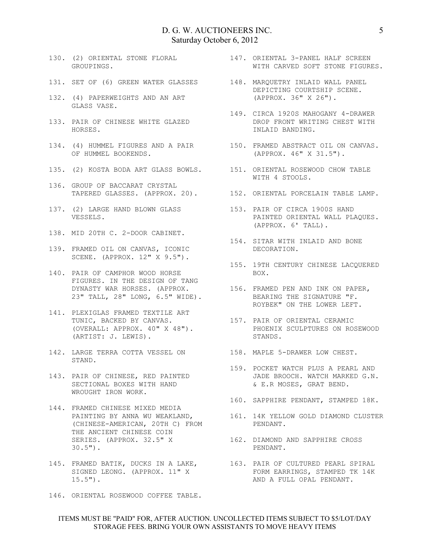- GROUPINGS.
- 131. SET OF (6) GREEN WATER GLASSES 148. MARQUETRY INLAID WALL PANEL
- 132. (4) PAPERWEIGHTS AND AN ART GLASS VASE.
- 14<br>133. PAIR OF CHINESE WHITE GLAZED HORSES.
- OF HUMMEL BOOKENDS.
- 
- 136. GROUP OF BACCARAT CRYSTAL TAPERED GLASSES. (APPROX. 20). 152. ORIENTAL PORCELAIN TABLE LAMP.
- 137. (2) LARGE HAND BLOWN GLASS 153. PAIR OF CIRCA 1900S HAND VESSELS.
- 138. MID 20TH C. 2-DOOR CABINET.
- 139. FRAMED OIL ON CANVAS, ICONIC SCENE. (APPROX. 12" X 9.5").
- 140. PAIR OF CAMPHOR WOOD HORSE FIGURES. IN THE DESIGN OF TANG DYNASTY WAR HORSES. (APPROX. 23" TALL, 28" LONG, 6.5" WIDE).
- 141. PLEXIGLAS FRAMED TEXTILE ART TUNIC, BACKED BY CANVAS. (OVERALL: APPROX. 40" X 48"). (ARTIST: J. LEWIS).
- 142. LARGE TERRA COTTA VESSEL ON 158. MAPLE 5-DRAWER LOW CHEST. STAND.
- 143. PAIR OF CHINESE, RED PAINTED SECTIONAL BOXES WITH HAND WROUGHT IRON WORK.
- 144. FRAMED CHINESE MIXED MEDIA PAINTING BY ANNA WU WEAKLAND, (CHINESE-AMERICAN, 20TH C) FROM THE ANCIENT CHINESE COIN SERIES. (APPROX. 32.5" X 30.5").
- 145. FRAMED BATIK, DUCKS IN A LAKE, SIGNED LEONG. (APPROX. 11" X  $15.5"$ ).
- 146. ORIENTAL ROSEWOOD COFFEE TABLE.
- 130. (2) ORIENTAL STONE FLORAL 147. ORIENTAL 3-PANEL HALF SCREEN WITH CARVED SOFT STONE FIGURES.
	- DEPICTING COURTSHIP SCENE. (APPROX. 36" X 26").
	- 149. CIRCA 1920S MAHOGANY 4-DRAWER DROP FRONT WRITING CHEST WITH INLAID BANDING.
- 134. (4) HUMMEL FIGURES AND A PAIR 150. FRAMED ABSTRACT OIL ON CANVAS. (APPROX. 46" X 31.5").
- 135. (2) KOSTA BODA ART GLASS BOWLS. 151. ORIENTAL ROSEWOOD CHOW TABLE WITH 4 STOOLS.
	-
	- PAINTED ORIENTAL WALL PLAQUES. (APPROX. 6' TALL).
	- 154. SITAR WITH INLAID AND BONE DECORATION.
	- 155. 19TH CENTURY CHINESE LACQUERED BOX.
	- 156. FRAMED PEN AND INK ON PAPER, BEARING THE SIGNATURE "F. ROYBEK" ON THE LOWER LEFT.
	- 157. PAIR OF ORIENTAL CERAMIC PHOENIX SCULPTURES ON ROSEWOOD STANDS.
	-
	- 159. POCKET WATCH PLUS A PEARL AND JADE BROOCH. WATCH MARKED G.N. & E.R MOSES, GRAT BEND.
	- 160. SAPPHIRE PENDANT, STAMPED 18K.
		- 161. 14K YELLOW GOLD DIAMOND CLUSTER PENDANT.
		- 162. DIAMOND AND SAPPHIRE CROSS PENDANT.
		- 163. PAIR OF CULTURED PEARL SPIRAL FORM EARRINGS, STAMPED TK 14K AND A FULL OPAL PENDANT.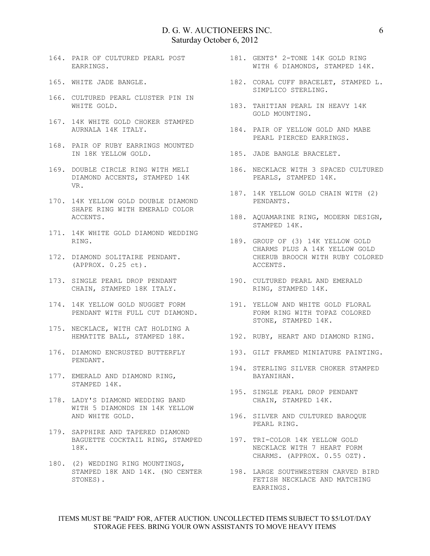- 164. PAIR OF CULTURED PEARL POST EARRINGS.
- 165. WHITE JADE BANGLE.
- 166. CULTURED PEARL CLUSTER PIN IN WHITE GOLD.
- 167. 14K WHITE GOLD CHOKER STAMPED
- 168. PAIR OF RUBY EARRINGS MOUNTED IN 18K YELLOW GOLD.
- 169. DOUBLE CIRCLE RING WITH MELI DIAMOND ACCENTS, STAMPED 14K VR.
- 170. 14K YELLOW GOLD DOUBLE DIAMOND SHAPE RING WITH EMERALD COLOR ACCENTS.
- 171. 14K WHITE GOLD DIAMOND WEDDING
- 172. DIAMOND SOLITAIRE PENDANT. (APPROX. 0.25 ct).
- 173. SINGLE PEARL DROP PENDANT CHAIN, STAMPED 18K ITALY.
- 174. 14K YELLOW GOLD NUGGET FORM PENDANT WITH FULL CUT DIAMOND.
- 175. NECKLACE, WITH CAT HOLDING A
- PENDANT.
- 177. EMERALD AND DIAMOND RING, STAMPED 14K.
- 178. LADY'S DIAMOND WEDDING BAND WITH 5 DIAMONDS IN 14K YELLOW AND WHITE GOLD.
- 179. SAPPHIRE AND TAPERED DIAMOND BAGUETTE COCKTAIL RING, STAMPED 197. TRI-COLOR 14K YELLOW GOLD 18K.
- 180. (2) WEDDING RING MOUNTINGS, STONES).
- 181. GENTS' 2-TONE 14K GOLD RING WITH 6 DIAMONDS, STAMPED 14K.
- 182. CORAL CUFF BRACELET, STAMPED L.<br>SIMPLICO STERLING. SIMPLICO STERLING.
	- 183. TAHITIAN PEARL IN HEAVY 14K GOLD MOUNTING.
- AURNALA 14K ITALY. 184. PAIR OF YELLOW GOLD AND MABE PEARL PIERCED EARRINGS.
	- 185. JADE BANGLE BRACELET.
		- 186. NECKLACE WITH 3 SPACED CULTURED PEARLS, STAMPED 14K.
	- 187. 14K YELLOW GOLD CHAIN WITH (2) PENDANTS.
	- 188. AQUAMARINE RING, MODERN DESIGN, STAMPED 14K.
- RING. 189. GROUP OF (3) 14K YELLOW GOLD CHARMS PLUS A 14K YELLOW GOLD CHERUB BROOCH WITH RUBY COLORED ACCENTS.
	- 190. CULTURED PEARL AND EMERALD RING, STAMPED 14K.
	- 191. YELLOW AND WHITE GOLD FLORAL FORM RING WITH TOPAZ COLORED STONE, STAMPED 14K.
- HEMATITE BALL, STAMPED 18K. 192. RUBY, HEART AND DIAMOND RING.
- 176. DIAMOND ENCRUSTED BUTTERFLY 193. GILT FRAMED MINIATURE PAINTING.
	- 194. STERLING SILVER CHOKER STAMPED BAYANIHAN.
	- 195. SINGLE PEARL DROP PENDANT CHAIN, STAMPED 14K.
	- 196. SILVER AND CULTURED BAROQUE PEARL RING.
		- NECKLACE WITH 7 HEART FORM CHARMS. (APPROX. 0.55 OZT).
	- STAMPED 18K AND 14K. (NO CENTER 198. LARGE SOUTHWESTERN CARVED BIRD FETISH NECKLACE AND MATCHING EARRINGS.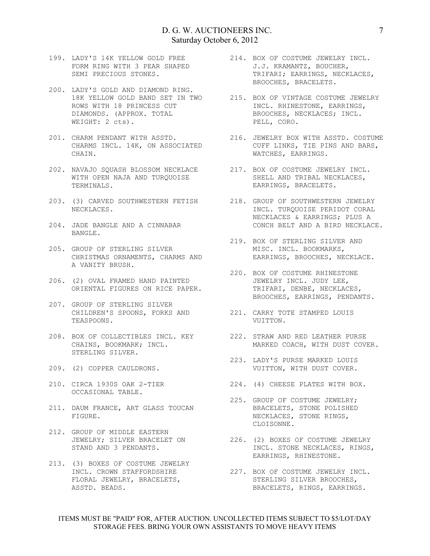- 199. LADY'S 14K YELLOW GOLD FREE FORM RING WITH 3 PEAR SHAPED SEMI PRECIOUS STONES.
- 200. LADY'S GOLD AND DIAMOND RING. 18K YELLOW GOLD BAND SET IN TWO ROWS WITH 18 PRINCESS CUT DIAMONDS. (APPROX. TOTAL WEIGHT: 2 cts).
- 201. CHARM PENDANT WITH ASSTD. CHARMS INCL. 14K, ON ASSOCIATED CHAIN.
- 202. NAVAJO SQUASH BLOSSOM NECKLACE WITH OPEN NAJA AND TURQUOISE TERMINALS.
- 203. (3) CARVED SOUTHWESTERN FETISH NECKLACES.
- 204. JADE BANGLE AND A CINNABAR BANGLE.
- 205. GROUP OF STERLING SILVER CHRISTMAS ORNAMENTS, CHARMS AND A VANITY BRUSH.
- 206. (2) OVAL FRAMED HAND PAINTED ORIENTAL FIGURES ON RICE PAPER.
- 207. GROUP OF STERLING SILVER CHILDREN'S SPOONS, FORKS AND 221. CARRY TOTE STAMPED LOUIS TEASPOONS.
- 208. BOX OF COLLECTIBLES INCL. KEY CHAINS, BOOKMARK; INCL. STERLING SILVER.
- 209. (2) COPPER CAULDRONS.
- 210. CIRCA 1930S OAK 2-TIER OCCASIONAL TABLE.
- 211. DAUM FRANCE, ART GLASS TOUCAN FIGURE.
- 212. GROUP OF MIDDLE EASTERN JEWELRY; SILVER BRACELET ON STAND AND 3 PENDANTS.
- 213. (3) BOXES OF COSTUME JEWELRY INCL. CROWN STAFFORDSHIRE FLORAL JEWELRY, BRACELETS, ASSTD. BEADS.
- 214. BOX OF COSTUME JEWELRY INCL. J.J. KRAMANTZ, BOUCHER, TRIFARI; EARRINGS, NECKLACES, BROOCHES, BRACELETS.
- 215. BOX OF VINTAGE COSTUME JEWELRY INCL. RHINESTONE, EARRINGS, BROOCHES, NECKLACES; INCL. PELL, CORO.
- 216. JEWELRY BOX WITH ASSTD. COSTUME CUFF LINKS, TIE PINS AND BARS, WATCHES, EARRINGS.
- 217. BOX OF COSTUME JEWELRY INCL. SHELL AND TRIBAL NECKLACES, EARRINGS, BRACELETS.
- 218. GROUP OF SOUTHWESTERN JEWELRY INCL. TURQUOISE PERIDOT CORAL NECKLACES & EARRINGS; PLUS A CONCH BELT AND A BIRD NECKLACE.
- 219. BOX OF STERLING SILVER AND MISC. INCL. BOOKMARKS, EARRINGS, BROOCHES, NECKLACE.
- 220. BOX OF COSTUME RHINESTONE JEWELRY INCL. JUDY LEE, TRIFARI, DENBE, NECKLACES, BROOCHES, EARRINGS, PENDANTS.
- VUITTON.
- 222. STRAW AND RED LEATHER PURSE MARKED COACH, WITH DUST COVER.
- 223. LADY'S PURSE MARKED LOUIS VUITTON, WITH DUST COVER.
- 224. (4) CHEESE PLATES WITH BOX.
- 225. GROUP OF COSTUME JEWELRY; BRACELETS, STONE POLISHED NECKLACES, STONE RINGS, CLOISONNE.
	- 226. (2) BOXES OF COSTUME JEWELRY INCL. STONE NECKLACES, RINGS, EARRINGS, RHINESTONE.
	- 227. BOX OF COSTUME JEWELRY INCL. STERLING SILVER BROOCHES, BRACELETS, RINGS, EARRINGS.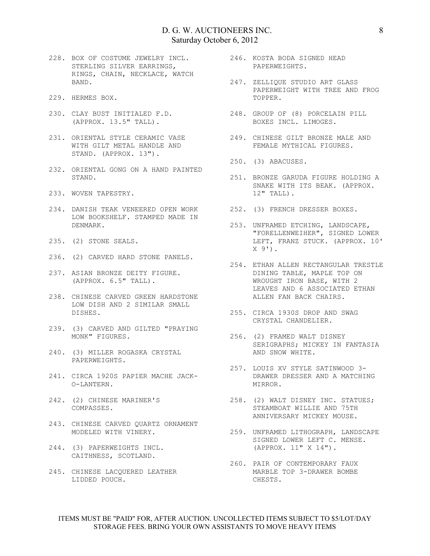- 228. BOX OF COSTUME JEWELRY INCL. STERLING SILVER EARRINGS, RINGS, CHAIN, NECKLACE, WATCH BAND.
- 229. HERMES BOX.
- 230. CLAY BUST INITIALED F.D. (APPROX. 13.5" TALL).
- 231. ORIENTAL STYLE CERAMIC VASE 249. CHINESE GILT BRONZE MALE AND WITH GILT METAL HANDLE AND STAND. (APPROX. 13").
- 232. ORIENTAL GONG ON A HAND PAINTED STAND.
- 233. WOVEN TAPESTRY.
- 234. DANISH TEAK VENEERED OPEN WORK 252. (3) FRENCH DRESSER BOXES. LOW BOOKSHELF. STAMPED MADE IN DENMARK.
- 235. (2) STONE SEALS.
- 236. (2) CARVED HARD STONE PANELS.
- 237. ASIAN BRONZE DEITY FIGURE. (APPROX. 6.5" TALL).
- 238. CHINESE CARVED GREEN HARDSTONE LOW DISH AND 2 SIMILAR SMALL DISHES.
- 239. (3) CARVED AND GILTED "PRAYING
- 240. (3) MILLER ROGASKA CRYSTAL PAPERWEIGHTS.
- 241. CIRCA 1920S PAPIER MACHE JACK-O-LANTERN.
- 242. (2) CHINESE MARINER'S COMPASSES.
- 243. CHINESE CARVED QUARTZ ORNAMENT
- 244. (3) PAPERWEIGHTS INCL. CAITHNESS, SCOTLAND.
- 245. CHINESE LACQUERED LEATHER LIDDED POUCH.
- 246. KOSTA BODA SIGNED HEAD PAPERWEIGHTS.
- 247. ZELLIQUE STUDIO ART GLASS PAPERWEIGHT WITH TREE AND FROG TOPPER.
	- 248. GROUP OF (8) PORCELAIN PILL BOXES INCL. LIMOGES.
	- FEMALE MYTHICAL FIGURES.
- 250. (3) ABACUSES.
- 251. BRONZE GARUDA FIGURE HOLDING A SNAKE WITH ITS BEAK. (APPROX. 12" TALL).
	-
	- 253. UNFRAMED ETCHING, LANDSCAPE, "FORELLENWEIHER", SIGNED LOWER LEFT, FRANZ STUCK. (APPROX. 10'  $X$  9').
- 254. ETHAN ALLEN RECTANGULAR TRESTLE DINING TABLE, MAPLE TOP ON WROUGHT IRON BASE, WITH 2 LEAVES AND 6 ASSOCIATED ETHAN ALLEN FAN BACK CHAIRS.
- 255. CIRCA 1930S DROP AND SWAG CRYSTAL CHANDELIER.
- MONK" FIGURES. 256. (2) FRAMED WALT DISNEY SERIGRAPHS; MICKEY IN FANTASIA AND SNOW WHITE.
	- 257. LOUIS XV STYLE SATINWOOD 3- DRAWER DRESSER AND A MATCHING MIRROR.
	- 258. (2) WALT DISNEY INC. STATUES; STEAMBOAT WILLIE AND 75TH ANNIVERSARY MICKEY MOUSE.
- MODELED WITH VINERY. 259. UNFRAMED LITHOGRAPH, LANDSCAPE SIGNED LOWER LEFT C. MENSE. (APPROX. 11" X 14").
	- 260. PAIR OF CONTEMPORARY FAUX MARBLE TOP 3-DRAWER BOMBE CHESTS.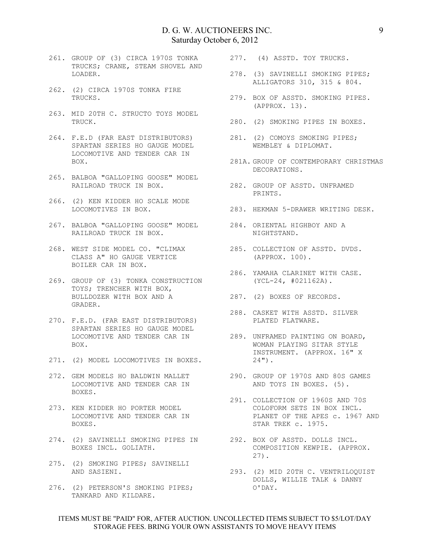- 261. GROUP OF (3) CIRCA 1970S TONKA TRUCKS; CRANE, STEAM SHOVEL AND LOADER.
- 262. (2) CIRCA 1970S TONKA FIRE TRUCKS.
- 263. MID 20TH C. STRUCTO TOYS MODEL TRUCK.
- 264. F.E.D (FAR EAST DISTRIBUTORS) 281. (2) COMOYS SMOKING PIPES; SPARTAN SERIES HO GAUGE MODEL LOCOMOTIVE AND TENDER CAR IN BOX.
- 265. BALBOA "GALLOPING GOOSE" MODEL RAILROAD TRUCK IN BOX.
- 266. (2) KEN KIDDER HO SCALE MODE LOCOMOTIVES IN BOX.
- 267. BALBOA "GALLOPING GOOSE" MODEL RAILROAD TRUCK IN BOX.
- 268. WEST SIDE MODEL CO. "CLIMAX CLASS A" HO GAUGE VERTICE BOILER CAR IN BOX.
- 269. GROUP OF (3) TONKA CONSTRUCTION TOYS; TRENCHER WITH BOX, BULLDOZER WITH BOX AND A GRADER.
- 270. F.E.D. (FAR EAST DISTRIBUTORS) SPARTAN SERIES HO GAUGE MODEL BOX.
- 271. (2) MODEL LOCOMOTIVES IN BOXES.
- 272. GEM MODELS HO BALDWIN MALLET LOCOMOTIVE AND TENDER CAR IN BOXES.
- 273. KEN KIDDER HO PORTER MODEL LOCOMOTIVE AND TENDER CAR IN BOXES.
- 274. (2) SAVINELLI SMOKING PIPES IN 292. BOX OF ASSTD. DOLLS INCL. BOXES INCL. GOLIATH.
- 275. (2) SMOKING PIPES; SAVINELLI AND SASIENI.
- 276. (2) PETERSON'S SMOKING PIPES; TANKARD AND KILDARE.
- 277. (4) ASSTD. TOY TRUCKS.
	- 278. (3) SAVINELLI SMOKING PIPES; ALLIGATORS 310, 315 & 804.
	- 279. BOX OF ASSTD. SMOKING PIPES. (APPROX. 13).
- 280. (2) SMOKING PIPES IN BOXES.
	- WEMBLEY & DIPLOMAT.
- 281A. GROUP OF CONTEMPORARY CHRISTMAS DECORATIONS.
- 282. GROUP OF ASSTD. UNFRAMED PRINTS.
- 283. HEKMAN 5-DRAWER WRITING DESK.
	- 284. ORIENTAL HIGHBOY AND A NIGHTSTAND.
	- 285. COLLECTION OF ASSTD. DVDS. (APPROX. 100).
- 286. YAMAHA CLARINET WITH CASE. (YCL-24, #021162A).
- 287. (2) BOXES OF RECORDS.
- 288. CASKET WITH ASSTD. SILVER PLATED FLATWARE.
- LOCOMOTIVE AND TENDER CAR IN 289. UNFRAMED PAINTING ON BOARD, WOMAN PLAYING SITAR STYLE INSTRUMENT. (APPROX. 16" X  $24")$ .
	- 290. GROUP OF 1970S AND 80S GAMES AND TOYS IN BOXES. (5).
	- 291. COLLECTION OF 1960S AND 70S COLOFORM SETS IN BOX INCL. PLANET OF THE APES c. 1967 AND STAR TREK c. 1975.
		- COMPOSITION KEWPIE. (APPROX. 27).
		- 293. (2) MID 20TH C. VENTRILOQUIST DOLLS, WILLIE TALK & DANNY O'DAY.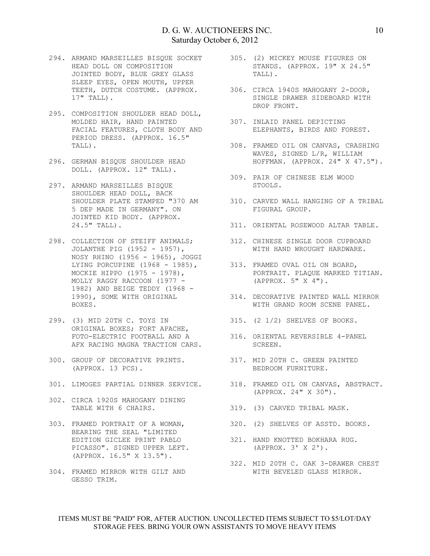- 294. ARMAND MARSEILLES BISQUE SOCKET HEAD DOLL ON COMPOSITION JOINTED BODY, BLUE GREY GLASS SLEEP EYES, OPEN MOUTH, UPPER TEETH, DUTCH COSTUME. (APPROX. 17" TALL).
- 295. COMPOSITION SHOULDER HEAD DOLL, MOLDED HAIR, HAND PAINTED FACIAL FEATURES, CLOTH BODY AND PERIOD DRESS. (APPROX. 16.5" TALL).
- 296. GERMAN BISQUE SHOULDER HEAD DOLL. (APPROX. 12" TALL).
- 297. ARMAND MARSEILLES BISQUE SHOULDER HEAD DOLL, BACK SHOULDER PLATE STAMPED "370 AM 5 DEP MADE IN GERMANY". ON JOINTED KID BODY. (APPROX. 24.5" TALL).
- 298. COLLECTION OF STEIFF ANIMALS; JOLANTHE PIG (1952 - 1957), NOSY RHINO (1956 - 1965), JOGGI LYING PORCUPINE (1968 - 1985), MOCKIE HIPPO (1975 - 1978), MOLLY RAGGY RACCOON (1977 - 1982) AND BEIGE TEDDY (1968 - 1990), SOME WITH ORIGINAL BOXES.
- 299. (3) MID 20TH C. TOYS IN ORIGINAL BOXES; FORT APACHE, FOTO-ELECTRIC FOOTBALL AND A AFX RACING MAGNA TRACTION CARS.
- 300. GROUP OF DECORATIVE PRINTS. 317. MID 20TH C. GREEN PAINTED (APPROX. 13 PCS).
- 
- 302. CIRCA 1920S MAHOGANY DINING TABLE WITH 6 CHAIRS.
- 303. FRAMED PORTRAIT OF A WOMAN, BEARING THE SEAL "LIMITED EDITION GICLEE PRINT PABLO PICASSO". SIGNED UPPER LEFT. (APPROX. 16.5" X 13.5").
- 304. FRAMED MIRROR WITH GILT AND GESSO TRIM.
- 305. (2) MICKEY MOUSE FIGURES ON STANDS. (APPROX. 19" X 24.5" TALL).
- 306. CIRCA 1940S MAHOGANY 2-DOOR, SINGLE DRAWER SIDEBOARD WITH DROP FRONT.
- 307. INLAID PANEL DEPICTING ELEPHANTS, BIRDS AND FOREST.
- 308. FRAMED OIL ON CANVAS, CRASHING WAVES, SIGNED L/R, WILLIAM HOFFMAN. (APPROX. 24" X 47.5").
- 309. PAIR OF CHINESE ELM WOOD STOOLS.
- 310. CARVED WALL HANGING OF A TRIBAL FIGURAL GROUP.
- 311. ORIENTAL ROSEWOOD ALTAR TABLE.
- 312. CHINESE SINGLE DOOR CUPBOARD WITH HAND WROUGHT HARDWARE.
- 313. FRAMED OVAL OIL ON BOARD, PORTRAIT. PLAQUE MARKED TITIAN. (APPROX. 5" X 4").
- 314. DECORATIVE PAINTED WALL MIRROR WITH GRAND ROOM SCENE PANEL.
- 315. (2 1/2) SHELVES OF BOOKS.
- 316. ORIENTAL REVERSIBLE 4-PANEL SCREEN.
- BEDROOM FURNITURE.
- 301. LIMOGES PARTIAL DINNER SERVICE. 318. FRAMED OIL ON CANVAS, ABSTRACT. (APPROX. 24" X 30").
	- 319. (3) CARVED TRIBAL MASK.
	- 320. (2) SHELVES OF ASSTD. BOOKS.
		- 321. HAND KNOTTED BOKHARA RUG. (APPROX. 3' X 2').
		- 322. MID 20TH C. OAK 3-DRAWER CHEST WITH BEVELED GLASS MIRROR.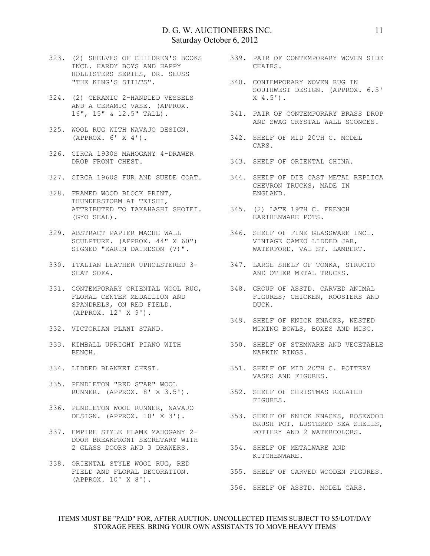- 323. (2) SHELVES OF CHILDREN'S BOOKS 339. PAIR OF CONTEMPORARY WOVEN SIDE INCL. HARDY BOYS AND HAPPY HOLLISTERS SERIES, DR. SEUSS "THE KING'S STILTS".
- 324. (2) CERAMIC 2-HANDLED VESSELS AND A CERAMIC VASE. (APPROX. 16", 15" & 12.5" TALL).
- 325. WOOL RUG WITH NAVAJO DESIGN. (APPROX. 6' X 4').
- 326. CIRCA 1930S MAHOGANY 4-DRAWER DROP FRONT CHEST.
- 
- 328. FRAMED WOOD BLOCK PRINT, THUNDERSTORM AT TEISHI, ATTRIBUTED TO TAKAHASHI SHOTEI. 345. (2) LATE 19TH C. FRENCH (GYO SEAL).
- 329. ABSTRACT PAPIER MACHE WALL SCULPTURE. (APPROX. 44" X 60") SIGNED "KARIN DAIRDSON (?)".
- 330. ITALIAN LEATHER UPHOLSTERED 3- 347. LARGE SHELF OF TONKA, STRUCTO SEAT SOFA.
- 331. CONTEMPORARY ORIENTAL WOOL RUG, FLORAL CENTER MEDALLION AND SPANDRELS, ON RED FIELD. (APPROX. 12' X 9').
- 332. VICTORIAN PLANT STAND.
- BENCH.
- 
- 335. PENDLETON "RED STAR" WOOL RUNNER. (APPROX. 8' X 3.5').
- 336. PENDLETON WOOL RUNNER, NAVAJO DESIGN. (APPROX. 10' X 3').
- 337. EMPIRE STYLE FLAME MAHOGANY 2- DOOR BREAKFRONT SECRETARY WITH 2 GLASS DOORS AND 3 DRAWERS.
- 338. ORIENTAL STYLE WOOL RUG, RED (APPROX. 10' X 8').
- CHAIRS.
- 340. CONTEMPORARY WOVEN RUG IN SOUTHWEST DESIGN. (APPROX. 6.5'  $X$  4.5').
	- 341. PAIR OF CONTEMPORARY BRASS DROP AND SWAG CRYSTAL WALL SCONCES.
	- 342. SHELF OF MID 20TH C. MODEL CARS.
- 343. SHELF OF ORIENTAL CHINA.
- 327. CIRCA 1960S FUR AND SUEDE COAT. 344. SHELF OF DIE CAST METAL REPLICA CHEVRON TRUCKS, MADE IN ENGLAND.
	- EARTHENWARE POTS.
	- 346. SHELF OF FINE GLASSWARE INCL. VINTAGE CAMEO LIDDED JAR, WATERFORD, VAL ST. LAMBERT.
	- AND OTHER METAL TRUCKS.
	- 348. GROUP OF ASSTD. CARVED ANIMAL FIGURES; CHICKEN, ROOSTERS AND DUCK.
	- 349. SHELF OF KNICK KNACKS, NESTED MIXING BOWLS, BOXES AND MISC.
- 333. KIMBALL UPRIGHT PIANO WITH 350. SHELF OF STEMWARE AND VEGETABLE NAPKIN RINGS.
- 334. LIDDED BLANKET CHEST. 351. SHELF OF MID 20TH C. POTTERY VASES AND FIGURES.
	- 352. SHELF OF CHRISTMAS RELATED FIGURES.
	- 353. SHELF OF KNICK KNACKS, ROSEWOOD BRUSH POT, LUSTERED SEA SHELLS, POTTERY AND 2 WATERCOLORS.
	- 354. SHELF OF METALWARE AND KITCHENWARE.
	- FIELD AND FLORAL DECORATION. 355. SHELF OF CARVED WOODEN FIGURES.
		- 356. SHELF OF ASSTD. MODEL CARS.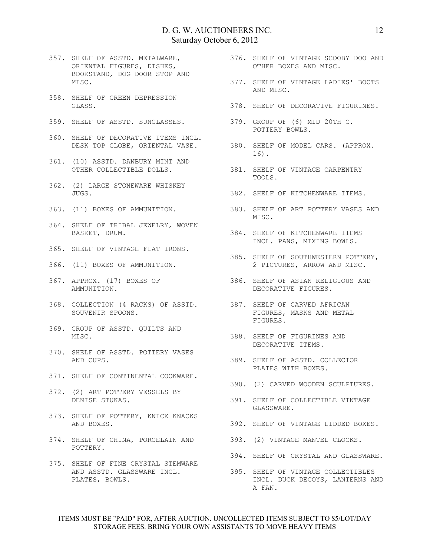- 357. SHELF OF ASSTD. METALWARE, ORIENTAL FIGURES, DISHES, BOOKSTAND, DOG DOOR STOP AND MISC.
- 358. SHELF OF GREEN DEPRESSION GLASS.
- 
- 360. SHELF OF DECORATIVE ITEMS INCL.
- 361. (10) ASSTD. DANBURY MINT AND OTHER COLLECTIBLE DOLLS.
- 362. (2) LARGE STONEWARE WHISKEY JUGS.
- 363. (11) BOXES OF AMMUNITION.
- 364. SHELF OF TRIBAL JEWELRY, WOVEN BASKET, DRUM.
- 365. SHELF OF VINTAGE FLAT IRONS.
- 366. (11) BOXES OF AMMUNITION.
- 367. APPROX. (17) BOXES OF AMMUNITION.
- 368. COLLECTION (4 RACKS) OF ASSTD. 387. SHELF OF CARVED AFRICAN SOUVENIR SPOONS.
- 369. GROUP OF ASSTD. QUILTS AND MISC.
- 370. SHELF OF ASSTD. POTTERY VASES AND CUPS.
- 371. SHELF OF CONTINENTAL COOKWARE.
- 372. (2) ART POTTERY VESSELS BY DENISE STUKAS.
- 373. SHELF OF POTTERY, KNICK KNACKS AND BOXES.
- 374. SHELF OF CHINA, PORCELAIN AND 393. (2) VINTAGE MANTEL CLOCKS. POTTERY.
- 375. SHELF OF FINE CRYSTAL STEMWARE AND ASSTD. GLASSWARE INCL. PLATES, BOWLS.
- 376. SHELF OF VINTAGE SCOOBY DOO AND OTHER BOXES AND MISC.
- 377. SHELF OF VINTAGE LADIES' BOOTS AND MISC.
- 378. SHELF OF DECORATIVE FIGURINES.
- 359. SHELF OF ASSTD. SUNGLASSES. 379. GROUP OF (6) MID 20TH C. POTTERY BOWLS.
	- DESK TOP GLOBE, ORIENTAL VASE. 380. SHELF OF MODEL CARS. (APPROX. 16).
		- 381. SHELF OF VINTAGE CARPENTRY TOOLS.
			- 382. SHELF OF KITCHENWARE ITEMS.
			- 383. SHELF OF ART POTTERY VASES AND MISC.
			- 384. SHELF OF KITCHENWARE ITEMS INCL. PANS, MIXING BOWLS.
			- 385. SHELF OF SOUTHWESTERN POTTERY, 2 PICTURES, ARROW AND MISC.
		- 386. SHELF OF ASIAN RELIGIOUS AND DECORATIVE FIGURES.
			- FIGURES, MASKS AND METAL FIGURES.
			- 388. SHELF OF FIGURINES AND DECORATIVE ITEMS.
			- 389. SHELF OF ASSTD. COLLECTOR PLATES WITH BOXES.
			- 390. (2) CARVED WOODEN SCULPTURES.
			- 391. SHELF OF COLLECTIBLE VINTAGE GLASSWARE.
			- 392. SHELF OF VINTAGE LIDDED BOXES.
			-
			- 394. SHELF OF CRYSTAL AND GLASSWARE.
		- 395. SHELF OF VINTAGE COLLECTIBLES INCL. DUCK DECOYS, LANTERNS AND A FAN.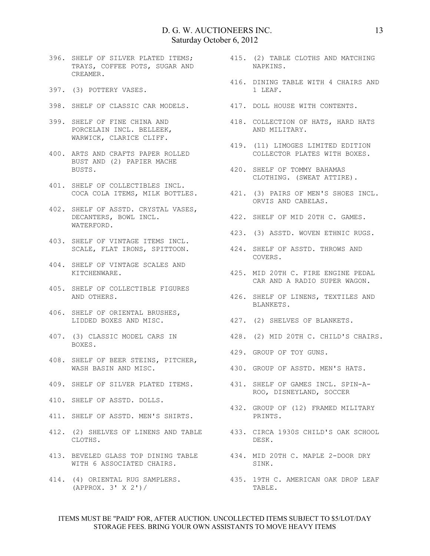- 396. SHELF OF SILVER PLATED ITEMS; TRAYS, COFFEE POTS, SUGAR AND CREAMER.
- 397. (3) POTTERY VASES.
- 398. SHELF OF CLASSIC CAR MODELS. 417. DOLL HOUSE WITH CONTENTS.
- 399. SHELF OF FINE CHINA AND PORCELAIN INCL. BELLEEK, WARWICK, CLARICE CLIFF.
- 400. ARTS AND CRAFTS PAPER ROLLED BUST AND (2) PAPIER MACHE AKTS AND CIVILITY I.E.<br>BUST AND (2) PAPIER MACHE<br>BUSTS.
- 401. SHELF OF COLLECTIBLES INCL.
- 402. SHELF OF ASSTD. CRYSTAL VASES, DECANTERS, BOWL INCL. WATERFORD.
- 403. SHELF OF VINTAGE ITEMS INCL.
- 404. SHELF OF VINTAGE SCALES AND KITCHENWARE.
- 405. SHELF OF COLLECTIBLE FIGURES AND OTHERS.
- 406. SHELF OF ORIENTAL BRUSHES, LIDDED BOXES AND MISC.
- 407. (3) CLASSIC MODEL CARS IN BOXES.
- 408. SHELF OF BEER STEINS, PITCHER, WASH BASIN AND MISC.
- 
- 410. SHELF OF ASSTD. DOLLS.
- 411. SHELF OF ASSTD. MEN'S SHIRTS.
- 412. (2) SHELVES OF LINENS AND TABLE 433. CIRCA 1930S CHILD'S OAK SCHOOL CLOTHS.
- 413. BEVELED GLASS TOP DINING TABLE 434. MID 20TH C. MAPLE 2-DOOR DRY WITH 6 ASSOCIATED CHAIRS.
- (APPROX. 3' X 2')/
- 415. (2) TABLE CLOTHS AND MATCHING NAPKINS.
- 416. DINING TABLE WITH 4 CHAIRS AND 1 LEAF.
	-
- 418. COLLECTION OF HATS, HARD HATS AND MILITARY.
	- 419. (11) LIMOGES LIMITED EDITION COLLECTOR PLATES WITH BOXES.
	- 420. SHELF OF TOMMY BAHAMAS CLOTHING. (SWEAT ATTIRE).
- COCA COLA ITEMS, MILK BOTTLES. 421. (3) PAIRS OF MEN'S SHOES INCL. ORVIS AND CABELAS.
	- 422. SHELF OF MID 20TH C. GAMES.
	- 423. (3) ASSTD. WOVEN ETHNIC RUGS.
- SCALE, FLAT IRONS, SPITTOON. 424. SHELF OF ASSTD. THROWS AND COVERS.
	- 425. MID 20TH C. FIRE ENGINE PEDAL CAR AND A RADIO SUPER WAGON.
	- 426. SHELF OF LINENS, TEXTILES AND BLANKETS.
	- 427. (2) SHELVES OF BLANKETS.
	- 428. (2) MID 20TH C. CHILD'S CHAIRS.
	- 429. GROUP OF TOY GUNS.
	- 430. GROUP OF ASSTD. MEN'S HATS.
- 409. SHELF OF SILVER PLATED ITEMS. 431. SHELF OF GAMES INCL. SPIN-A-ROO, DISNEYLAND, SOCCER
	- 432. GROUP OF (12) FRAMED MILITARY PRINTS.
		- DESK.
		- SINK.
- 414. (4) ORIENTAL RUG SAMPLERS. 435. 19TH C. AMERICAN OAK DROP LEAF TABLE.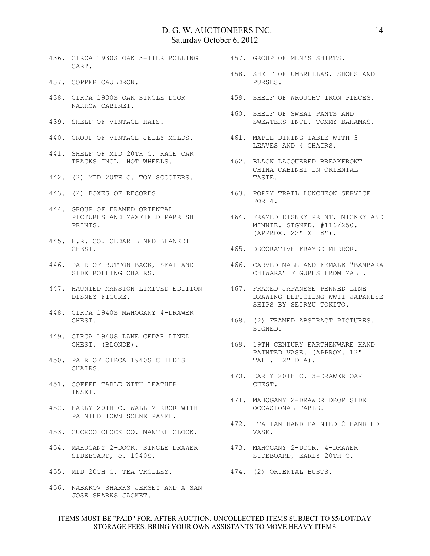- 436. CIRCA 1930S OAK 3-TIER ROLLING CART.
- 437. COPPER CAULDRON.
- 438. CIRCA 1930S OAK SINGLE DOOR NARROW CABINET.
- 439. SHELF OF VINTAGE HATS.
- 440. GROUP OF VINTAGE JELLY MOLDS. 461. MAPLE DINING TABLE WITH 3
- 441. SHELF OF MID 20TH C. RACE CAR
- 442. (2) MID 20TH C. TOY SCOOTERS.
- 443. (2) BOXES OF RECORDS.
- 444. GROUP OF FRAMED ORIENTAL PRINTS.
- 445. E.R. CO. CEDAR LINED BLANKET CHEST.
- SIDE ROLLING CHAIRS.
- 447. HAUNTED MANSION LIMITED EDITION DISNEY FIGURE.
- 448. CIRCA 1940S MAHOGANY 4-DRAWER CHEST.
- 449. CIRCA 1940S LANE CEDAR LINED CHEST. (BLONDE).
- 450. PAIR OF CIRCA 1940S CHILD'S CHAIRS.
- 451. COFFEE TABLE WITH LEATHER INSET.
- 452. EARLY 20TH C. WALL MIRROR WITH PAINTED TOWN SCENE PANEL.
- 453. CUCKOO CLOCK CO. MANTEL CLOCK.
- 454. MAHOGANY 2-DOOR, SINGLE DRAWER 473. MAHOGANY 2-DOOR, 4-DRAWER SIDEBOARD, c. 1940S.
- 455. MID 20TH C. TEA TROLLEY. 474. (2) ORIENTAL BUSTS.
- 456. NABAKOV SHARKS JERSEY AND A SAN JOSE SHARKS JACKET.

457. GROUP OF MEN'S SHIRTS.

- 458. SHELF OF UMBRELLAS, SHOES AND PURSES.
- 459. SHELF OF WROUGHT IRON PIECES.
	- 460. SHELF OF SWEAT PANTS AND SWEATERS INCL. TOMMY BAHAMAS.
	- LEAVES AND 4 CHAIRS.
- TRACKS INCL. HOT WHEELS. 462. BLACK LACQUERED BREAKFRONT CHINA CABINET IN ORIENTAL TASTE.
	- 463. POPPY TRAIL LUNCHEON SERVICE FOR 4.
- PICTURES AND MAXFIELD PARRISH 464. FRAMED DISNEY PRINT, MICKEY AND MINNIE. SIGNED. #116/250. (APPROX. 22" X 18").
	- 465. DECORATIVE FRAMED MIRROR.
- 446. PAIR OF BUTTON BACK, SEAT AND 466. CARVED MALE AND FEMALE "BAMBARA CHIWARA" FIGURES FROM MALI.
	- 467. FRAMED JAPANESE PENNED LINE DRAWING DEPICTING WWII JAPANESE SHIPS BY SEIRYU TOKITO.
	- 468. (2) FRAMED ABSTRACT PICTURES. SIGNED.
	- 469. 19TH CENTURY EARTHENWARE HAND PAINTED VASE. (APPROX. 12" TALL, 12" DIA).
		- 470. EARLY 20TH C. 3-DRAWER OAK CHEST.
		- 471. MAHOGANY 2-DRAWER DROP SIDE OCCASIONAL TABLE.
		- 472. ITALIAN HAND PAINTED 2-HANDLED VASE.
			- SIDEBOARD, EARLY 20TH C.
			-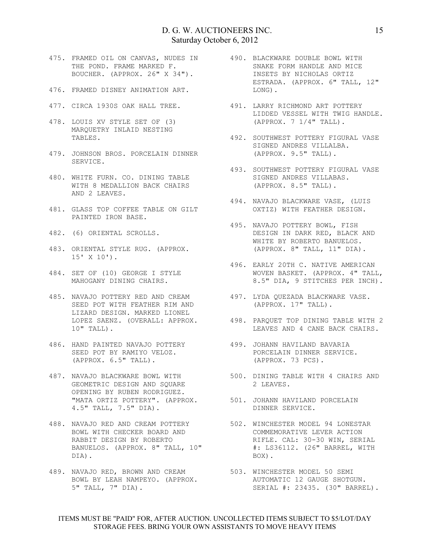- 475. FRAMED OIL ON CANVAS, NUDES IN THE POND. FRAME MARKED F. BOUCHER. (APPROX. 26" X 34").
- 476. FRAMED DISNEY ANIMATION ART.
- 
- 478. LOUIS XV STYLE SET OF (3) MARQUETRY INLAID NESTING TABLES.
- 479. JOHNSON BROS. PORCELAIN DINNER SERVICE.
- 480. WHITE FURN. CO. DINING TABLE WITH 8 MEDALLION BACK CHAIRS AND 2 LEAVES.
- 481. GLASS TOP COFFEE TABLE ON GILT PAINTED IRON BASE.
- 482. (6) ORIENTAL SCROLLS.
- 483. ORIENTAL STYLE RUG. (APPROX.<br>15' x 10'' 15' X 10').
- 484. SET OF (10) GEORGE I STYLE MAHOGANY DINING CHAIRS.
- 485. NAVAJO POTTERY RED AND CREAM SEED POT WITH FEATHER RIM AND LIZARD DESIGN. MARKED LIONEL 10" TALL).
- 486. HAND PAINTED NAVAJO POTTERY SEED POT BY RAMIYO VELOZ. (APPROX. 6.5" TALL).
- 487. NAVAJO BLACKWARE BOWL WITH GEOMETRIC DESIGN AND SQUARE OPENING BY RUBEN RODRIGUEZ. "MATA ORTIZ POTTERY". (APPROX. 4.5" TALL, 7.5" DIA).
- 488. NAVAJO RED AND CREAM POTTERY BOWL WITH CHECKER BOARD AND RABBIT DESIGN BY ROBERTO BANUELOS. (APPROX. 8" TALL, 10" DIA).
- 489. NAVAJO RED, BROWN AND CREAM BOWL BY LEAH NAMPEYO. (APPROX. 5" TALL, 7" DIA).
- 490. BLACKWARE DOUBLE BOWL WITH SNAKE FORM HANDLE AND MICE INSETS BY NICHOLAS ORTIZ ESTRADA. (APPROX. 6" TALL, 12" LONG).
- 477. CIRCA 1930S OAK HALL TREE. 491. LARRY RICHMOND ART POTTERY LIDDED VESSEL WITH TWIG HANDLE. (APPROX. 7 1/4" TALL).
	- 492. SOUTHWEST POTTERY FIGURAL VASE SIGNED ANDRES VILLALBA. (APPROX. 9.5" TALL).
	- 493. SOUTHWEST POTTERY FIGURAL VASE SIGNED ANDRES VILLABAS. (APPROX. 8.5" TALL).
	- 494. NAVAJO BLACKWARE VASE, (LUIS OXTIZ) WITH FEATHER DESIGN.
		- 495. NAVAJO POTTERY BOWL, FISH DESIGN IN DARK RED, BLACK AND WHITE BY ROBERTO BANUELOS. (APPROX. 8" TALL, 11" DIA).
		- 496. EARLY 20TH C. NATIVE AMERICAN WOVEN BASKET. (APPROX. 4" TALL, 8.5" DIA, 9 STITCHES PER INCH).
		- 497. LYDA QUEZADA BLACKWARE VASE. (APPROX. 17" TALL).
	- LOPEZ SAENZ. (OVERALL: APPROX. 498. PARQUET TOP DINING TABLE WITH 2 LEAVES AND 4 CANE BACK CHAIRS.
		- 499. JOHANN HAVILAND BAVARIA PORCELAIN DINNER SERVICE. (APPROX. 73 PCS).
		- 500. DINING TABLE WITH 4 CHAIRS AND 2 LEAVES.
		- 501. JOHANN HAVILAND PORCELAIN DINNER SERVICE.
		- 502. WINCHESTER MODEL 94 LONESTAR COMMEMORATIVE LEVER ACTION RIFLE. CAL: 30-30 WIN, SERIAL #: LS36112. (26" BARREL, WITH BOX).
		- 503. WINCHESTER MODEL 50 SEMI AUTOMATIC 12 GAUGE SHOTGUN. SERIAL #: 23435. (30" BARREL).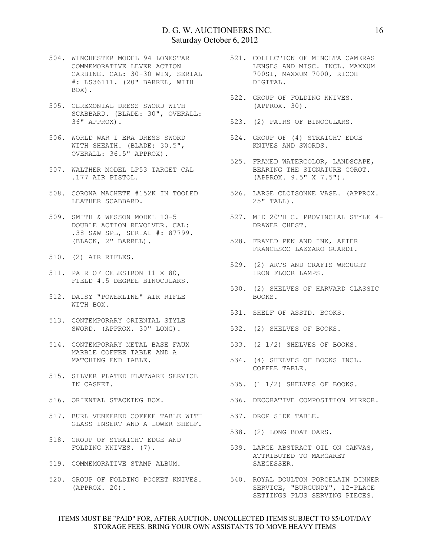- 504. WINCHESTER MODEL 94 LONESTAR COMMEMORATIVE LEVER ACTION CARBINE. CAL: 30-30 WIN, SERIAL #: LS36111. (20" BARREL, WITH BOX).
- 505. CEREMONIAL DRESS SWORD WITH SCABBARD. (BLADE: 30", OVERALL: 36" APPROX).
- 506. WORLD WAR I ERA DRESS SWORD WITH SHEATH. (BLADE: 30.5", OVERALL: 36.5" APPROX).
- 507. WALTHER MODEL LP53 TARGET CAL .177 AIR PISTOL.
- 508. CORONA MACHETE #152K IN TOOLED 526. LARGE CLOISONNE VASE. (APPROX. LEATHER SCABBARD.
- 509. SMITH & WESSON MODEL 10-5 DOUBLE ACTION REVOLVER. CAL: .38 S&W SPL, SERIAL #: 87799. (BLACK, 2" BARREL).
- 510. (2) AIR RIFLES.
- 511. PAIR OF CELESTRON 11 X 80, FIELD 4.5 DEGREE BINOCULARS.
- 512. DAISY "POWERLINE" AIR RIFLE WITH BOX.
- 513. CONTEMPORARY ORIENTAL STYLE SWORD. (APPROX. 30" LONG). 532. (2) SHELVES OF BOOKS.
- 514. CONTEMPORARY METAL BASE FAUX 533. (2 1/2) SHELVES OF BOOKS. MARBLE COFFEE TABLE AND A
- 515. SILVER PLATED FLATWARE SERVICE IN CASKET.
- 516. ORIENTAL STACKING BOX.
- 517. BURL VENEERED COFFEE TABLE WITH GLASS INSERT AND A LOWER SHELF.
- 518. GROUP OF STRAIGHT EDGE AND
- 519. COMMEMORATIVE STAMP ALBUM.
- 520. GROUP OF FOLDING POCKET KNIVES. 540. ROYAL DOULTON PORCELAIN DINNER (APPROX. 20).
- 521. COLLECTION OF MINOLTA CAMERAS LENSES AND MISC. INCL. MAXXUM 700SI, MAXXUM 7000, RICOH DIGITAL.
- 522. GROUP OF FOLDING KNIVES. (APPROX. 30).
- 523. (2) PAIRS OF BINOCULARS.
	- 524. GROUP OF (4) STRAIGHT EDGE KNIVES AND SWORDS.
- 525. FRAMED WATERCOLOR, LANDSCAPE, BEARING THE SIGNATURE COROT. (APPROX. 9.5" X 7.5").
	- 25" TALL).
	- 527. MID 20TH C. PROVINCIAL STYLE 4- DRAWER CHEST.
	- 528. FRAMED PEN AND INK, AFTER FRANCESCO LAZZARO GUARDI.
	- 529. (2) ARTS AND CRAFTS WROUGHT IRON FLOOR LAMPS.
- 530. (2) SHELVES OF HARVARD CLASSIC BOOKS.
- 531. SHELF OF ASSTD. BOOKS.
	-
	-
- MATCHING END TABLE. 534. (4) SHELVES OF BOOKS INCL. COFFEE TABLE.
	- 535. (1 1/2) SHELVES OF BOOKS.
	- 536. DECORATIVE COMPOSITION MIRROR.
	- 537. DROP SIDE TABLE.
		- 538. (2) LONG BOAT OARS.
- FOLDING KNIVES. (7). 539. LARGE ABSTRACT OIL ON CANVAS, ATTRIBUTED TO MARGARET SAEGESSER.
	- SERVICE, "BURGUNDY", 12-PLACE SETTINGS PLUS SERVING PIECES.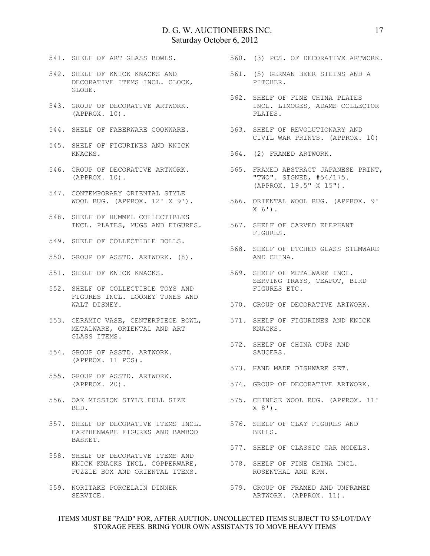- 541. SHELF OF ART GLASS BOWLS.
- 542. SHELF OF KNICK KNACKS AND DECORATIVE ITEMS INCL. CLOCK, GLOBE.
- 543. GROUP OF DECORATIVE ARTWORK. (APPROX. 10).
- 
- 545. SHELF OF FIGURINES AND KNICK KNACKS.
- (APPROX. 10).
- 547. CONTEMPORARY ORIENTAL STYLE WOOL RUG. (APPROX. 12' X 9').
- 548. SHELF OF HUMMEL COLLECTIBLES INCL. PLATES, MUGS AND FIGURES. 567. SHELF OF CARVED ELEPHANT
- 549. SHELF OF COLLECTIBLE DOLLS.
- 550. GROUP OF ASSTD. ARTWORK. (8).
- 551. SHELF OF KNICK KNACKS.
- 552. SHELF OF COLLECTIBLE TOYS AND FIGURES INCL. LOONEY TUNES AND WALT DISNEY.
- 553. CERAMIC VASE, CENTERPIECE BOWL, METALWARE, ORIENTAL AND ART GLASS ITEMS.
- 554. GROUP OF ASSTD. ARTWORK. (APPROX. 11 PCS).
- 555. GROUP OF ASSTD. ARTWORK. (APPROX. 20).
- BED.
- 557. SHELF OF DECORATIVE ITEMS INCL. EARTHENWARE FIGURES AND BAMBOO BASKET.
- 558. SHELF OF DECORATIVE ITEMS AND KNICK KNACKS INCL. COPPERWARE, PUZZLE BOX AND ORIENTAL ITEMS.
- SERVICE.

560. (3) PCS. OF DECORATIVE ARTWORK.

- 561. (5) GERMAN BEER STEINS AND A PITCHER.
- 562. SHELF OF FINE CHINA PLATES INCL. LIMOGES, ADAMS COLLECTOR PLATES.
- 544. SHELF OF FABERWARE COOKWARE. 563. SHELF OF REVOLUTIONARY AND CIVIL WAR PRINTS. (APPROX. 10)
	- 564. (2) FRAMED ARTWORK.
- 546. GROUP OF DECORATIVE ARTWORK. 565. FRAMED ABSTRACT JAPANESE PRINT, "TWO". SIGNED, #54/175. (APPROX. 19.5" X 15").
	- 566. ORIENTAL WOOL RUG. (APPROX. 9'  $X$  6').
		- FIGURES.
		- 568. SHELF OF ETCHED GLASS STEMWARE AND CHINA.
	- 569. SHELF OF METALWARE INCL. SERVING TRAYS, TEAPOT, BIRD FIGURES ETC.
	- 570. GROUP OF DECORATIVE ARTWORK.
	- 571. SHELF OF FIGURINES AND KNICK KNACKS.
	- 572. SHELF OF CHINA CUPS AND SAUCERS.
	- 573. HAND MADE DISHWARE SET.
	- 574. GROUP OF DECORATIVE ARTWORK.
- 556. OAK MISSION STYLE FULL SIZE 575. CHINESE WOOL RUG. (APPROX. 11'  $X 8'$ .
	- 576. SHELF OF CLAY FIGURES AND BELLS.
	- 577. SHELF OF CLASSIC CAR MODELS.
	- 578. SHELF OF FINE CHINA INCL. ROSENTHAL AND KPM.
- 559. NORITAKE PORCELAIN DINNER 579. GROUP OF FRAMED AND UNFRAMED ARTWORK. (APPROX. 11).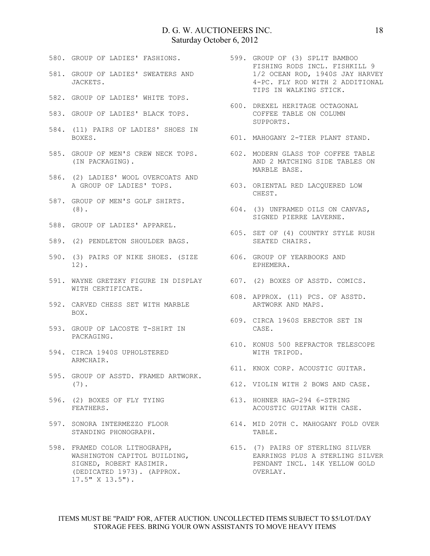- 580. GROUP OF LADIES' FASHIONS.
- 581. GROUP OF LADIES' SWEATERS AND JACKETS.
- 582. GROUP OF LADIES' WHITE TOPS.
- 583. GROUP OF LADIES' BLACK TOPS.
- 584. (11) PAIRS OF LADIES' SHOES IN BOXES.
- 585. GROUP OF MEN'S CREW NECK TOPS. 602. MODERN GLASS TOP COFFEE TABLE (IN PACKAGING).
- 586. (2) LADIES' WOOL OVERCOATS AND A GROUP OF LADIES' TOPS.
- 587. GROUP OF MEN'S GOLF SHIRTS. (8).
- 588. GROUP OF LADIES' APPAREL.
- 589. (2) PENDLETON SHOULDER BAGS.
- 590. (3) PAIRS OF NIKE SHOES. (SIZE 606. GROUP OF YEARBOOKS AND 12).
- 591. WAYNE GRETZKY FIGURE IN DISPLAY 607. (2) BOXES OF ASSTD. COMICS. WITH CERTIFICATE.
- 592. CARVED CHESS SET WITH MARBLE BOX.
- 593. GROUP OF LACOSTE T-SHIRT IN PACKAGING.
- 594. CIRCA 1940S UPHOLSTERED ARMCHAIR.
- 595. GROUP OF ASSTD. FRAMED ARTWORK. (7).
- 596. (2) BOXES OF FLY TYING FEATHERS.
- 597. SONORA INTERMEZZO FLOOR STANDING PHONOGRAPH.
- 598. FRAMED COLOR LITHOGRAPH, WASHINGTON CAPITOL BUILDING, SIGNED, ROBERT KASIMIR. (DEDICATED 1973). (APPROX. 17.5" X 13.5").
- 599. GROUP OF (3) SPLIT BAMBOO FISHING RODS INCL. FISHKILL 9 1/2 OCEAN ROD, 1940S JAY HARVEY 4-PC. FLY ROD WITH 2 ADDITIONAL TIPS IN WALKING STICK.
- 600. DREXEL HERITAGE OCTAGONAL COFFEE TABLE ON COLUMN SUPPORTS.
- 601. MAHOGANY 2-TIER PLANT STAND.
- AND 2 MATCHING SIDE TABLES ON MARBLE BASE.
- 603. ORIENTAL RED LACQUERED LOW CHEST.
- 604. (3) UNFRAMED OILS ON CANVAS, SIGNED PIERRE LAVERNE.
	- 605. SET OF (4) COUNTRY STYLE RUSH SEATED CHAIRS.
	- EPHEMERA.
	-
	- 608. APPROX. (11) PCS. OF ASSTD. ARTWORK AND MAPS.
	- 609. CIRCA 1960S ERECTOR SET IN CASE.
		- 610. KONUS 500 REFRACTOR TELESCOPE WITH TRIPOD.
	- 611. KNOX CORP. ACOUSTIC GUITAR.
	- 612. VIOLIN WITH 2 BOWS AND CASE.
	- 613. HOHNER HAG-294 6-STRING ACOUSTIC GUITAR WITH CASE.
	- 614. MID 20TH C. MAHOGANY FOLD OVER TABLE.
		- 615. (7) PAIRS OF STERLING SILVER EARRINGS PLUS A STERLING SILVER PENDANT INCL. 14K YELLOW GOLD OVERLAY.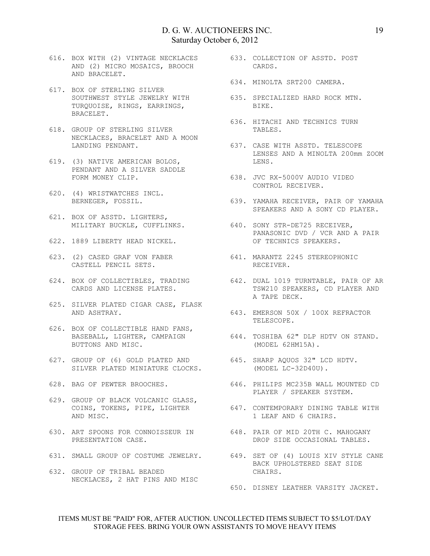- 616. BOX WITH (2) VINTAGE NECKLACES AND (2) MICRO MOSAICS, BROOCH AND BRACELET.
- 617. BOX OF STERLING SILVER SOUTHWEST STYLE JEWELRY WITH TURQUOISE, RINGS, EARRINGS, BRACELET.
- 618. GROUP OF STERLING SILVER NECKLACES, BRACELET AND A MOON LANDING PENDANT.
- 619. (3) NATIVE AMERICAN BOLOS, PENDANT AND A SILVER SADDLE FORM MONEY CLIP.
- 620. (4) WRISTWATCHES INCL. BERNEGER, FOSSIL.
- 621. BOX OF ASSTD. LIGHTERS,
- 622. 1889 LIBERTY HEAD NICKEL.
- CASTELL PENCIL SETS.
- 624. BOX OF COLLECTIBLES, TRADING CARDS AND LICENSE PLATES.
- 625. SILVER PLATED CIGAR CASE, FLASK AND ASHTRAY.
- 626. BOX OF COLLECTIBLE HAND FANS, BASEBALL, LIGHTER, CAMPAIGN BUTTONS AND MISC.
- 627. GROUP OF (6) GOLD PLATED AND SILVER PLATED MINIATURE CLOCKS.
- 
- 629. GROUP OF BLACK VOLCANIC GLASS, AND MISC.
- 630. ART SPOONS FOR CONNOISSEUR IN 648. PAIR OF MID 20TH C. MAHOGANY PRESENTATION CASE.
- 
- 632. GROUP OF TRIBAL BEADED NECKLACES, 2 HAT PINS AND MISC
- 633. COLLECTION OF ASSTD. POST CARDS.
- 634. MINOLTA SRT200 CAMERA.
	- 635. SPECIALIZED HARD ROCK MTN. BIKE.
	- 636. HITACHI AND TECHNICS TURN TABLES.
	- 637. CASE WITH ASSTD. TELESCOPE LENSES AND A MINOLTA 200mm ZOOM LENS.
- 638. JVC RX-5000V AUDIO VIDEO CONTROL RECEIVER.
	- 639. YAMAHA RECEIVER, PAIR OF YAMAHA SPEAKERS AND A SONY CD PLAYER.
- MILITARY BUCKLE, CUFFLINKS. 640. SONY STR-DE725 RECEIVER, PANASONIC DVD / VCR AND A PAIR OF TECHNICS SPEAKERS.
- 623. (2) CASED GRAF VON FABER 641. MARANTZ 2245 STEREOPHONIC RECEIVER.
	- 642. DUAL 1019 TURNTABLE, PAIR OF AR TSW210 SPEAKERS, CD PLAYER AND A TAPE DECK.
	- 643. EMERSON 50X / 100X REFRACTOR TELESCOPE.
	- 644. TOSHIBA 62" DLP HDTV ON STAND. (MODEL 62HM15A).
	- 645. SHARP AQUOS 32" LCD HDTV. (MODEL LC-32D40U).
- 628. BAG OF PEWTER BROOCHES. 646. PHILIPS MC235B WALL MOUNTED CD PLAYER / SPEAKER SYSTEM.
	- COINS, TOKENS, PIPE, LIGHTER 647. CONTEMPORARY DINING TABLE WITH 1 LEAF AND 6 CHAIRS.
		- DROP SIDE OCCASIONAL TABLES.
- 631. SMALL GROUP OF COSTUME JEWELRY. 649. SET OF (4) LOUIS XIV STYLE CANE BACK UPHOLSTERED SEAT SIDE CHAIRS.
	- 650. DISNEY LEATHER VARSITY JACKET.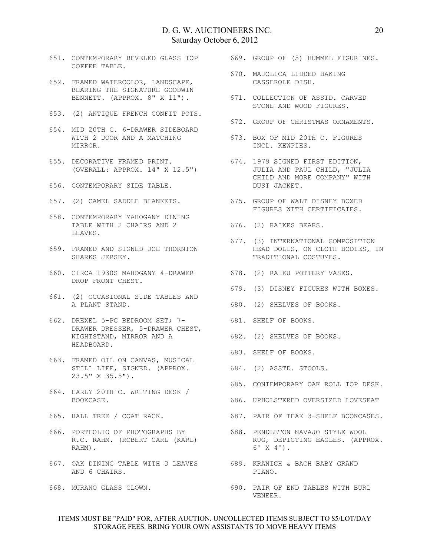- 651. CONTEMPORARY BEVELED GLASS TOP COFFEE TABLE.
- 652. FRAMED WATERCOLOR, LANDSCAPE, BEARING THE SIGNATURE GOODWIN BENNETT. (APPROX. 8" X 11").
- 653. (2) ANTIQUE FRENCH CONFIT POTS.
- 654. MID 20TH C. 6-DRAWER SIDEBOARD WITH 2 DOOR AND A MATCHING 673. BOX OF MID 20TH C. FIGURES MIRROR.
- 655. DECORATIVE FRAMED PRINT. (OVERALL: APPROX. 14" X 12.5")
- 656. CONTEMPORARY SIDE TABLE.
- 657. (2) CAMEL SADDLE BLANKETS.
- 658. CONTEMPORARY MAHOGANY DINING TABLE WITH 2 CHAIRS AND 2 LEAVES.
- 659. FRAMED AND SIGNED JOE THORNTON SHARKS JERSEY.
- 660. CIRCA 1930S MAHOGANY 4-DRAWER DROP FRONT CHEST.
- 661. (2) OCCASIONAL SIDE TABLES AND A PLANT STAND.
- 662. DREXEL 5-PC BEDROOM SET; 7- DRAWER DRESSER, 5-DRAWER CHEST, DRAWER DRESSER, .<br>NIGHTSTAND, MIRROR AND A HEADBOARD.
- 663. FRAMED OIL ON CANVAS, MUSICAL STILL LIFE, SIGNED. (APPROX. 23.5" X 35.5").
- 664. EARLY 20TH C. WRITING DESK / BOOKCASE.
- 665. HALL TREE / COAT RACK.
- 666. PORTFOLIO OF PHOTOGRAPHS BY R.C. RAHM. (ROBERT CARL (KARL) RAHM).
- 667. OAK DINING TABLE WITH 3 LEAVES 689. KRANICH & BACH BABY GRAND AND 6 CHAIRS.
- 668. MURANO GLASS CLOWN.

669. GROUP OF (5) HUMMEL FIGURINES.

- 670. MAJOLICA LIDDED BAKING CASSEROLE DISH.
- 671. COLLECTION OF ASSTD. CARVED STONE AND WOOD FIGURES.
- 672. GROUP OF CHRISTMAS ORNAMENTS.
	- INCL. KEWPIES.
	- 674. 1979 SIGNED FIRST EDITION, JULIA AND PAUL CHILD, "JULIA CHILD AND MORE COMPANY" WITH DUST JACKET.
- 675. GROUP OF WALT DISNEY BOXED FIGURES WITH CERTIFICATES.
- 676. (2) RAIKES BEARS.
	- 677. (3) INTERNATIONAL COMPOSITION HEAD DOLLS, ON CLOTH BODIES, IN TRADITIONAL COSTUMES.
- 678. (2) RAIKU POTTERY VASES.
	- 679. (3) DISNEY FIGURES WITH BOXES.
	- 680. (2) SHELVES OF BOOKS.
- 681. SHELF OF BOOKS.
- 682. (2) SHELVES OF BOOKS.
	- 683. SHELF OF BOOKS.
- 684. (2) ASSTD. STOOLS.
- 685. CONTEMPORARY OAK ROLL TOP DESK.
- 686. UPHOLSTERED OVERSIZED LOVESEAT
- 687. PAIR OF TEAK 3-SHELF BOOKCASES.
- 688. PENDLETON NAVAJO STYLE WOOL RUG, DEPICTING EAGLES. (APPROX. 6' X 4').
- PIANO.
- 690. PAIR OF END TABLES WITH BURL VENEER.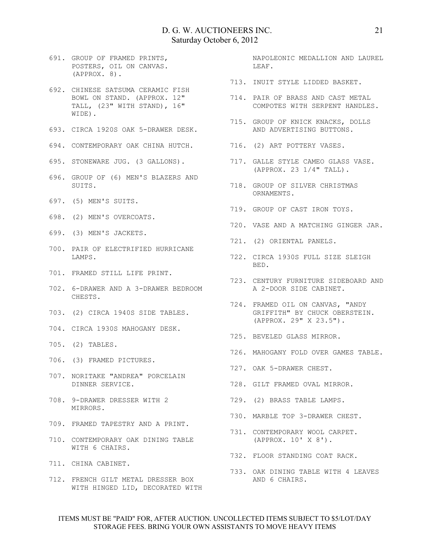- 691. GROUP OF FRAMED PRINTS, POSTERS, OIL ON CANVAS. (APPROX. 8).
- 692. CHINESE SATSUMA CERAMIC FISH BOWL ON STAND. (APPROX. 12" TALL, (23" WITH STAND), 16" WIDE).
- 693. CIRCA 1920S OAK 5-DRAWER DESK.
- 694. CONTEMPORARY OAK CHINA HUTCH.
- 695. STONEWARE JUG. (3 GALLONS).
- 696. GROUP OF (6) MEN'S BLAZERS AND SUITS.
- 697. (5) MEN'S SUITS.
- 698. (2) MEN'S OVERCOATS.
- 699. (3) MEN'S JACKETS.
- 700. PAIR OF ELECTRIFIED HURRICANE LAMPS.
- 701. FRAMED STILL LIFE PRINT.
- 702. 6-DRAWER AND A 3-DRAWER BEDROOM CHESTS.
- 703. (2) CIRCA 1940S SIDE TABLES.
- 704. CIRCA 1930S MAHOGANY DESK.
- 705. (2) TABLES.
- 706. (3) FRAMED PICTURES.
- 707. NORITAKE "ANDREA" PORCELAIN DINNER SERVICE.
- 708. 9-DRAWER DRESSER WITH 2 MIRRORS.
- 709. FRAMED TAPESTRY AND A PRINT.
- 710. CONTEMPORARY OAK DINING TABLE WITH 6 CHAIRS.
- 711. CHINA CABINET.
- 712. FRENCH GILT METAL DRESSER BOX WITH HINGED LID, DECORATED WITH

NAPOLEONIC MEDALLION AND LAUREL LEAF.

- 713. INUIT STYLE LIDDED BASKET.
- 714. PAIR OF BRASS AND CAST METAL COMPOTES WITH SERPENT HANDLES.
- 715. GROUP OF KNICK KNACKS, DOLLS AND ADVERTISING BUTTONS.
- 716. (2) ART POTTERY VASES.
- 717. GALLE STYLE CAMEO GLASS VASE. (APPROX. 23 1/4" TALL).
- 718. GROUP OF SILVER CHRISTMAS ORNAMENTS.
- 719. GROUP OF CAST IRON TOYS.
- 720. VASE AND A MATCHING GINGER JAR.
- 721. (2) ORIENTAL PANELS.
- 722. CIRCA 1930S FULL SIZE SLEIGH BED.
- 723. CENTURY FURNITURE SIDEBOARD AND A 2-DOOR SIDE CABINET.
- 724. FRAMED OIL ON CANVAS, "ANDY GRIFFITH" BY CHUCK OBERSTEIN. (APPROX. 29" X 23.5").
- 725. BEVELED GLASS MIRROR.
- 726. MAHOGANY FOLD OVER GAMES TABLE.
- 727. OAK 5-DRAWER CHEST.
- 728. GILT FRAMED OVAL MIRROR.
- 729. (2) BRASS TABLE LAMPS.
- 730. MARBLE TOP 3-DRAWER CHEST.
- 731. CONTEMPORARY WOOL CARPET. (APPROX. 10' X 8').
- 732. FLOOR STANDING COAT RACK.
- 733. OAK DINING TABLE WITH 4 LEAVES AND 6 CHAIRS.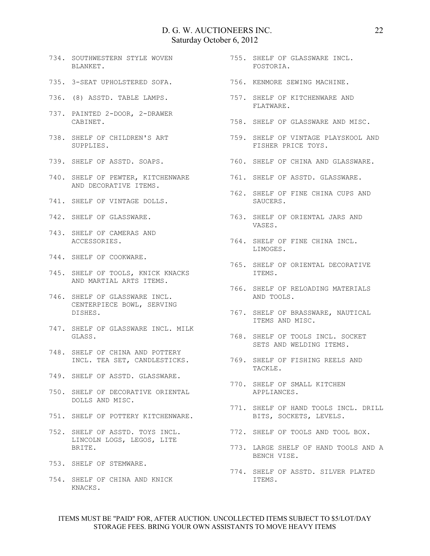- 734. SOUTHWESTERN STYLE WOVEN BLANKET.
- 735. 3-SEAT UPHOLSTERED SOFA.
- 736. (8) ASSTD. TABLE LAMPS.
- 737. PAINTED 2-DOOR, 2-DRAWER CABINET.
- 738. SHELF OF CHILDREN'S ART SUPPLIES.
- 739. SHELF OF ASSTD. SOAPS.
- 740. SHELF OF PEWTER, KITCHENWARE AND DECORATIVE ITEMS.
- 741. SHELF OF VINTAGE DOLLS.
- 742. SHELF OF GLASSWARE.
- 743. SHELF OF CAMERAS AND ACCESSORIES.
- 744. SHELF OF COOKWARE.
- 745. SHELF OF TOOLS, KNICK KNACKS AND MARTIAL ARTS ITEMS.
- 746. SHELF OF GLASSWARE INCL. CENTERPIECE BOWL, SERVING DISHES.
- 747. SHELF OF GLASSWARE INCL. MILK GLASS.
- 748. SHELF OF CHINA AND POTTERY
- 749. SHELF OF ASSTD. GLASSWARE.
- 750. SHELF OF DECORATIVE ORIENTAL DOLLS AND MISC.
- 751. SHELF OF POTTERY KITCHENWARE.
- 752. SHELF OF ASSTD. TOYS INCL. LINCOLN LOGS, LEGOS, LITE BRITE.
- 753. SHELF OF STEMWARE.
- 754. SHELF OF CHINA AND KNICK KNACKS.
- 755. SHELF OF GLASSWARE INCL. FOSTORIA.
- 756. KENMORE SEWING MACHINE.
- 757. SHELF OF KITCHENWARE AND FLATWARE.
- 758. SHELF OF GLASSWARE AND MISC.
- 759. SHELF OF VINTAGE PLAYSKOOL AND FISHER PRICE TOYS.
- 760. SHELF OF CHINA AND GLASSWARE.
- 761. SHELF OF ASSTD. GLASSWARE.
- 762. SHELF OF FINE CHINA CUPS AND SAUCERS.
- 763. SHELF OF ORIENTAL JARS AND VASES.
- 764. SHELF OF FINE CHINA INCL. LIMOGES.
- 765. SHELF OF ORIENTAL DECORATIVE ITEMS.
- 766. SHELF OF RELOADING MATERIALS AND TOOLS.
- 767. SHELF OF BRASSWARE, NAUTICAL ITEMS AND MISC.
- 768. SHELF OF TOOLS INCL. SOCKET SETS AND WELDING ITEMS.
- INCL. TEA SET, CANDLESTICKS. 769. SHELF OF FISHING REELS AND TACKLE.
	- 770. SHELF OF SMALL KITCHEN APPLIANCES.
	- 771. SHELF OF HAND TOOLS INCL. DRILL BITS, SOCKETS, LEVELS.
	- 772. SHELF OF TOOLS AND TOOL BOX.
	- 773. LARGE SHELF OF HAND TOOLS AND A BENCH VISE.
	- 774. SHELF OF ASSTD. SILVER PLATED ITEMS.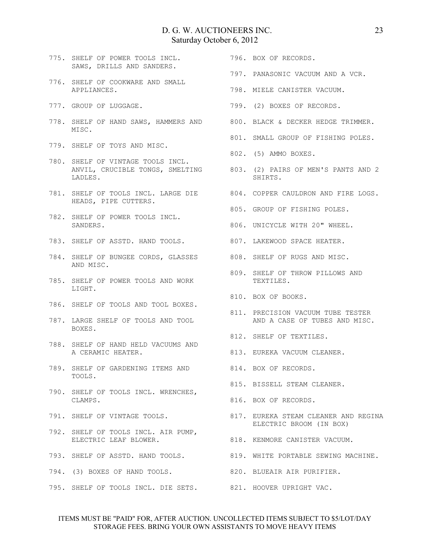- 775. SHELF OF POWER TOOLS INCL. SAWS, DRILLS AND SANDERS.
- 776. SHELF OF COOKWARE AND SMALL APPLIANCES.
- 777. GROUP OF LUGGAGE.
- 778. SHELF OF HAND SAWS, HAMMERS AND 800. BLACK & DECKER HEDGE TRIMMER. MT.SC.
- 779. SHELF OF TOYS AND MISC.
- 780. SHELF OF VINTAGE TOOLS INCL. LADLES.
- 781. SHELF OF TOOLS INCL. LARGE DIE HEADS, PIPE CUTTERS.
- 782. SHELF OF POWER TOOLS INCL. SANDERS.
- 783. SHELF OF ASSTD. HAND TOOLS.
- 784. SHELF OF BUNGEE CORDS, GLASSES AND MISC.
- 785. SHELF OF POWER TOOLS AND WORK LIGHT.
- 786. SHELF OF TOOLS AND TOOL BOXES.
- 787. LARGE SHELF OF TOOLS AND TOOL BOXES.
- 788. SHELF OF HAND HELD VACUUMS AND A CERAMIC HEATER.
- 789. SHELF OF GARDENING ITEMS AND 814. BOX OF RECORDS. TOOLS.
- 790. SHELF OF TOOLS INCL. WRENCHES, CLAMPS.
- 791. SHELF OF VINTAGE TOOLS.
- 792. SHELF OF TOOLS INCL. AIR PUMP, ELECTRIC LEAF BLOWER.
- 
- 794. (3) BOXES OF HAND TOOLS.
- 795. SHELF OF TOOLS INCL. DIE SETS. 821. HOOVER UPRIGHT VAC.
- 796. BOX OF RECORDS.
- 797. PANASONIC VACUUM AND A VCR.
- 798. MIELE CANISTER VACUUM.
- 799. (2) BOXES OF RECORDS.
- 
- 801. SMALL GROUP OF FISHING POLES.
- 802. (5) AMMO BOXES.
- ANVIL, CRUCIBLE TONGS, SMELTING 803. (2) PAIRS OF MEN'S PANTS AND 2 SHIRTS.
	- 804. COPPER CAULDRON AND FIRE LOGS.
	- 805. GROUP OF FISHING POLES.
	- 806. UNICYCLE WITH 20" WHEEL.
	- 807. LAKEWOOD SPACE HEATER.
	- 808. SHELF OF RUGS AND MISC.
	- 809. SHELF OF THROW PILLOWS AND TEXTILES.
		- 810. BOX OF BOOKS.
		- 811. PRECISION VACUUM TUBE TESTER AND A CASE OF TUBES AND MISC.
	- 812. SHELF OF TEXTILES.
	- 813. EUREKA VACUUM CLEANER.
	-
	- 815. BISSELL STEAM CLEANER.
	- 816. BOX OF RECORDS.
	- 817. EUREKA STEAM CLEANER AND REGINA ELECTRIC BROOM (IN BOX)
	- 818. KENMORE CANISTER VACUUM.
- 793. SHELF OF ASSTD. HAND TOOLS. 819. WHITE PORTABLE SEWING MACHINE.
	- 820. BLUEAIR AIR PURIFIER.
		-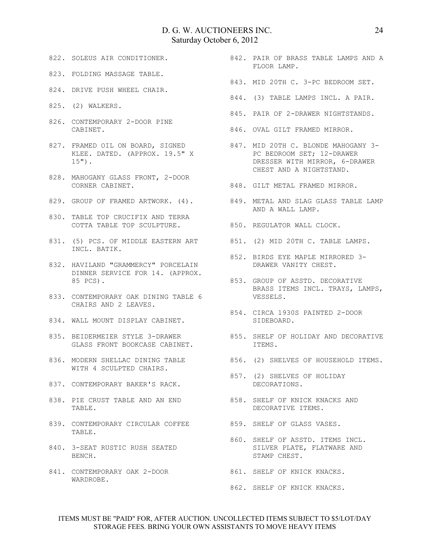- 822. SOLEUS AIR CONDITIONER.
- 823. FOLDING MASSAGE TABLE.
- 824. DRIVE PUSH WHEEL CHAIR.
- 825. (2) WALKERS.
- 826. CONTEMPORARY 2-DOOR PINE CABINET.
- 827. FRAMED OIL ON BOARD, SIGNED KLEE. DATED. (APPROX. 19.5" X 15").
- 828. MAHOGANY GLASS FRONT, 2-DOOR CORNER CABINET.
- 
- 830. TABLE TOP CRUCIFIX AND TERRA COTTA TABLE TOP SCULPTURE. 850. REGULATOR WALL CLOCK.
- 831. (5) PCS. OF MIDDLE EASTERN ART 851. (2) MID 20TH C. TABLE LAMPS. INCL. BATIK.
- 832. HAVILAND "GRAMMERCY" PORCELAIN DINNER SERVICE FOR 14. (APPROX. 85 PCS).
- 833. CONTEMPORARY OAK DINING TABLE 6 CHAIRS AND 2 LEAVES.
- 834. WALL MOUNT DISPLAY CABINET.
- 835. BEIDERMEIER STYLE 3-DRAWER GLASS FRONT BOOKCASE CABINET.
- 836. MODERN SHELLAC DINING TABLE 856. (2) SHELVES OF HOUSEHOLD ITEMS. WITH 4 SCULPTED CHAIRS.
- 837. CONTEMPORARY BAKER'S RACK.
- 838. PIE CRUST TABLE AND AN END TABLE.
- 839. CONTEMPORARY CIRCULAR COFFEE TABLE.
- 840. 3-SEAT RUSTIC RUSH SEATED BENCH.
- 841. CONTEMPORARY OAK 2-DOOR 861. SHELF OF KNICK KNACKS. WARDROBE.
- 842. PAIR OF BRASS TABLE LAMPS AND A FLOOR LAMP.
- 843. MID 20TH C. 3-PC BEDROOM SET.
- 844. (3) TABLE LAMPS INCL. A PAIR.
- 845. PAIR OF 2-DRAWER NIGHTSTANDS.
- 846. OVAL GILT FRAMED MIRROR.
	- 847. MID 20TH C. BLONDE MAHOGANY 3- PC BEDROOM SET; 12-DRAWER DRESSER WITH MIRROR, 6-DRAWER CHEST AND A NIGHTSTAND.
- 848. GILT METAL FRAMED MIRROR.
- 829. GROUP OF FRAMED ARTWORK. (4). 849. METAL AND SLAG GLASS TABLE LAMP AND A WALL LAMP.
	-
	-
	- 852. BIRDS EYE MAPLE MIRRORED 3- DRAWER VANITY CHEST.
	- 853. GROUP OF ASSTD. DECORATIVE BRASS ITEMS INCL. TRAYS, LAMPS, VESSELS.
	- 854. CIRCA 1930S PAINTED 2-DOOR SIDEBOARD.
		- 855. SHELF OF HOLIDAY AND DECORATIVE ITEMS.
		-
	- 857. (2) SHELVES OF HOLIDAY DECORATIONS.
	- 858. SHELF OF KNICK KNACKS AND DECORATIVE ITEMS.
	- 859. SHELF OF GLASS VASES.
		- 860. SHELF OF ASSTD. ITEMS INCL. SILVER PLATE, FLATWARE AND STAMP CHEST.
		-
		- 862. SHELF OF KNICK KNACKS.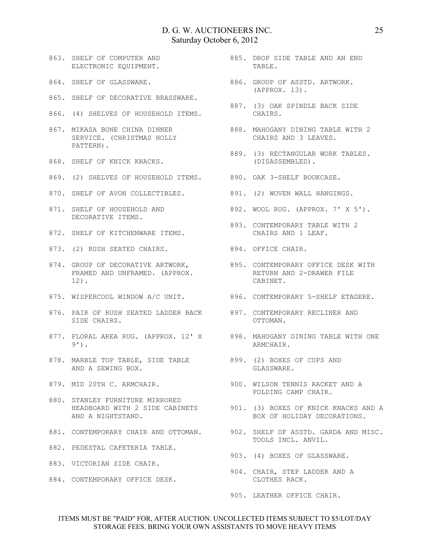- 863. SHELF OF COMPUTER AND ELECTRONIC EQUIPMENT.
- 864. SHELF OF GLASSWARE.
- 865. SHELF OF DECORATIVE BRASSWARE.
- 866. (4) SHELVES OF HOUSEHOLD ITEMS.
- 867. MIKASA BONE CHINA DINNER SERVICE. (CHRISTMAS HOLLY PATTERN).
- 868. SHELF OF KNICK KNACKS.
- 869. (2) SHELVES OF HOUSEHOLD ITEMS. 890. OAK 3-SHELF BOOKCASE.
- 870. SHELF OF AVON COLLECTIBLES.
- 871. SHELF OF HOUSEHOLD AND DECORATIVE ITEMS.
- 872. SHELF OF KITCHENWARE ITEMS.
- 873. (2) RUSH SEATED CHAIRS. 894. OFFICE CHAIR.
- 874. GROUP OF DECORATIVE ARTWORK, FRAMED AND UNFRAMED. (APPROX. 12).
- 875. WISPERCOOL WINDOW A/C UNIT.
- 876. PAIR OF RUSH SEATED LADDER BACK 897. CONTEMPORARY RECLINER AND SIDE CHAIRS.
- 877. FLORAL AREA RUG. (APPROX. 12' X 898. MAHOGANY DINING TABLE WITH ONE 9').
- 878. MARBLE TOP TABLE, SIDE TABLE 899. (2) BOXES OF CUPS AND AND A SEWING BOX.
- 879. MID 20TH C. ARMCHAIR.
- 880. STANLEY FURNITURE MIRRORED AND A NIGHTSTAND.
- 
- 882. PEDESTAL CAFETERIA TABLE.
- 883. VICTORIAN SIDE CHAIR.
- 884. CONTEMPORARY OFFICE DESK.
- 885. DROP SIDE TABLE AND AN END TABLE.
	- 886. GROUP OF ASSTD. ARTWORK. (APPROX. 13).
	- 887. (3) OAK SPINDLE BACK SIDE CHAIRS.
	- 888. MAHOGANY DINING TABLE WITH 2 CHAIRS AND 3 LEAVES.
- 889. (3) RECTANGULAR WORK TABLES. (DISASSEMBLED).
	-
- 891. (2) WOVEN WALL HANGINGS.
- 892. WOOL RUG. (APPROX. 7' X 5').
- 893. CONTEMPORARY TABLE WITH 2 CHAIRS AND 1 LEAF.
	-
	- 895. CONTEMPORARY OFFICE DESK WITH RETURN AND 2-DRAWER FILE CABINET.
- 896. CONTEMPORARY 5-SHELF ETAGERE.
	- OTTOMAN.
	- ARMCHAIR.
	- GLASSWARE.
- 900. WILSON TENNIS RACKET AND A FOLDING CAMP CHAIR.
- HEADBOARD WITH 2 SIDE CABINETS 901. (3) BOXES OF KNICK KNACKS AND A BOX OF HOLIDAY DECORATIONS.
- 881. CONTEMPORARY CHAIR AND OTTOMAN. 902. SHELF OF ASSTD. GARDA AND MISC. TOOLS INCL. ANVIL.
	- 903. (4) BOXES OF GLASSWARE.
	- 904. CHAIR, STEP LADDER AND A CLOTHES RACK.
	- 905. LEATHER OFFICE CHAIR.